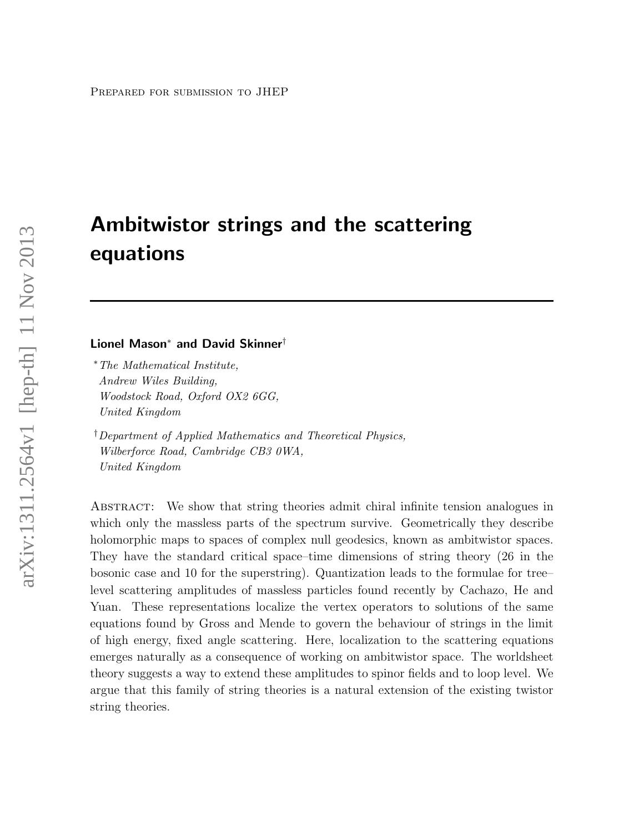# Ambitwistor strings and the scattering equations

#### Lionel Mason<sup>∗</sup> and David Skinner†

<sup>∗</sup>The Mathematical Institute, Andrew Wiles Building, Woodstock Road, Oxford OX2 6GG, United Kingdom

†Department of Applied Mathematics and Theoretical Physics, Wilberforce Road, Cambridge CB3 0WA, United Kingdom

Abstract: We show that string theories admit chiral infinite tension analogues in which only the massless parts of the spectrum survive. Geometrically they describe holomorphic maps to spaces of complex null geodesics, known as ambitwistor spaces. They have the standard critical space–time dimensions of string theory (26 in the bosonic case and 10 for the superstring). Quantization leads to the formulae for tree– level scattering amplitudes of massless particles found recently by Cachazo, He and Yuan. These representations localize the vertex operators to solutions of the same equations found by Gross and Mende to govern the behaviour of strings in the limit of high energy, fixed angle scattering. Here, localization to the scattering equations emerges naturally as a consequence of working on ambitwistor space. The worldsheet theory suggests a way to extend these amplitudes to spinor fields and to loop level. We argue that this family of string theories is a natural extension of the existing twistor string theories.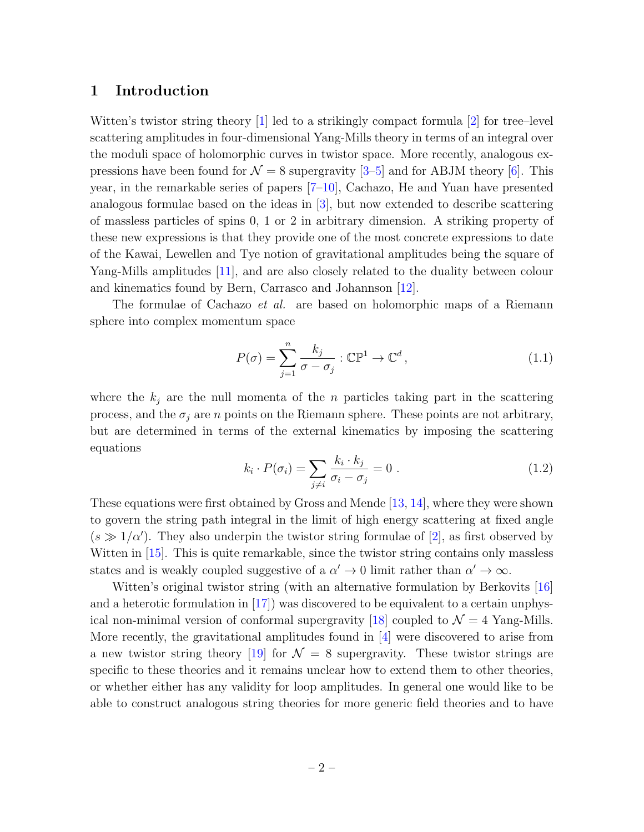## 1 Introduction

Witten's twistor string theory [\[1\]](#page-30-0) led to a strikingly compact formula [\[2\]](#page-30-1) for tree–level scattering amplitudes in four-dimensional Yang-Mills theory in terms of an integral over the moduli space of holomorphic curves in twistor space. More recently, analogous expressions have been found for  $\mathcal{N} = 8$  supergravity [\[3–](#page-30-2)[5\]](#page-30-3) and for ABJM theory [\[6\]](#page-30-4). This year, in the remarkable series of papers [\[7–](#page-30-5)[10\]](#page-30-6), Cachazo, He and Yuan have presented analogous formulae based on the ideas in [\[3\]](#page-30-2), but now extended to describe scattering of massless particles of spins 0, 1 or 2 in arbitrary dimension. A striking property of these new expressions is that they provide one of the most concrete expressions to date of the Kawai, Lewellen and Tye notion of gravitational amplitudes being the square of Yang-Mills amplitudes [\[11\]](#page-31-0), and are also closely related to the duality between colour and kinematics found by Bern, Carrasco and Johannson [\[12\]](#page-31-1).

The formulae of Cachazo *et al.* are based on holomorphic maps of a Riemann sphere into complex momentum space

$$
P(\sigma) = \sum_{j=1}^{n} \frac{k_j}{\sigma - \sigma_j} : \mathbb{CP}^1 \to \mathbb{C}^d,
$$
\n(1.1)

where the  $k_i$  are the null momenta of the n particles taking part in the scattering process, and the  $\sigma_j$  are n points on the Riemann sphere. These points are not arbitrary, but are determined in terms of the external kinematics by imposing the scattering equations

<span id="page-1-0"></span>
$$
k_i \cdot P(\sigma_i) = \sum_{j \neq i} \frac{k_i \cdot k_j}{\sigma_i - \sigma_j} = 0 \tag{1.2}
$$

These equations were first obtained by Gross and Mende [\[13,](#page-31-2) [14\]](#page-31-3), where they were shown to govern the string path integral in the limit of high energy scattering at fixed angle  $(s \gg 1/\alpha')$ . They also underpin the twistor string formulae of [\[2\]](#page-30-1), as first observed by Witten in [\[15\]](#page-31-4). This is quite remarkable, since the twistor string contains only massless states and is weakly coupled suggestive of a  $\alpha' \to 0$  limit rather than  $\alpha' \to \infty$ .

Witten's original twistor string (with an alternative formulation by Berkovits [\[16\]](#page-31-5) and a heterotic formulation in [\[17\]](#page-31-6)) was discovered to be equivalent to a certain unphys-ical non-minimal version of conformal supergravity [\[18\]](#page-31-7) coupled to  $\mathcal{N}=4$  Yang-Mills. More recently, the gravitational amplitudes found in [\[4\]](#page-30-7) were discovered to arise from a new twistor string theory [\[19\]](#page-31-8) for  $\mathcal{N} = 8$  supergravity. These twistor strings are specific to these theories and it remains unclear how to extend them to other theories, or whether either has any validity for loop amplitudes. In general one would like to be able to construct analogous string theories for more generic field theories and to have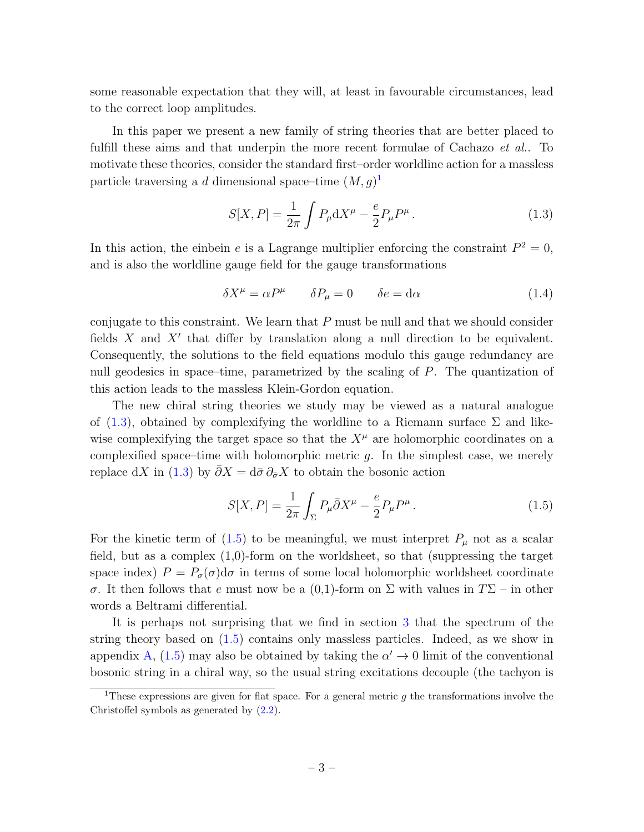some reasonable expectation that they will, at least in favourable circumstances, lead to the correct loop amplitudes.

In this paper we present a new family of string theories that are better placed to fulfill these aims and that underpin the more recent formulae of Cachazo *et al.*. To motivate these theories, consider the standard first–order worldline action for a massless particle traversing a *d* dimensional space–time  $(M, g)^1$  $(M, g)^1$ 

<span id="page-2-1"></span>
$$
S[X, P] = \frac{1}{2\pi} \int P_{\mu} dX^{\mu} - \frac{e}{2} P_{\mu} P^{\mu}.
$$
 (1.3)

In this action, the einbein e is a Lagrange multiplier enforcing the constraint  $P^2 = 0$ , and is also the worldline gauge field for the gauge transformations

$$
\delta X^{\mu} = \alpha P^{\mu} \qquad \delta P_{\mu} = 0 \qquad \delta e = d\alpha \tag{1.4}
$$

conjugate to this constraint. We learn that  $P$  must be null and that we should consider fields  $X$  and  $X'$  that differ by translation along a null direction to be equivalent. Consequently, the solutions to the field equations modulo this gauge redundancy are null geodesics in space–time, parametrized by the scaling of  $P$ . The quantization of this action leads to the massless Klein-Gordon equation.

The new chiral string theories we study may be viewed as a natural analogue of [\(1.3\)](#page-2-1), obtained by complexifying the worldline to a Riemann surface  $\Sigma$  and likewise complexifying the target space so that the  $X^{\mu}$  are holomorphic coordinates on a complexified space–time with holomorphic metric  $q$ . In the simplest case, we merely replace dX in [\(1.3\)](#page-2-1) by  $\bar{\partial}X = d\bar{\sigma}\partial_{\bar{\sigma}}X$  to obtain the bosonic action

<span id="page-2-2"></span>
$$
S[X,P] = \frac{1}{2\pi} \int_{\Sigma} P_{\mu} \bar{\partial} X^{\mu} - \frac{e}{2} P_{\mu} P^{\mu}.
$$
 (1.5)

For the kinetic term of [\(1.5\)](#page-2-2) to be meaningful, we must interpret  $P_\mu$  not as a scalar field, but as a complex  $(1,0)$ -form on the worldsheet, so that (suppressing the target space index)  $P = P_{\sigma}(\sigma) d\sigma$  in terms of some local holomorphic worldsheet coordinate σ. It then follows that e must now be a (0,1)-form on Σ with values in TΣ – in other words a Beltrami differential.

It is perhaps not surprising that we find in section [3](#page-9-0) that the spectrum of the string theory based on [\(1.5\)](#page-2-2) contains only massless particles. Indeed, as we show in appendix [A,](#page-32-0) [\(1.5\)](#page-2-2) may also be obtained by taking the  $\alpha' \to 0$  limit of the conventional bosonic string in a chiral way, so the usual string excitations decouple (the tachyon is

<span id="page-2-0"></span><sup>&</sup>lt;sup>1</sup>These expressions are given for flat space. For a general metric q the transformations involve the Christoffel symbols as generated by [\(2.2\)](#page-5-0).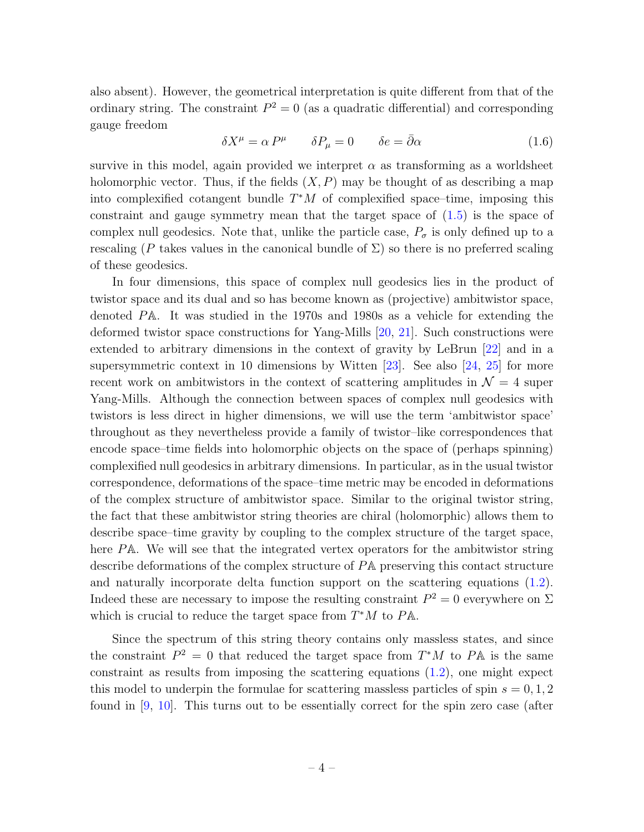also absent). However, the geometrical interpretation is quite different from that of the ordinary string. The constraint  $P^2 = 0$  (as a quadratic differential) and corresponding gauge freedom

$$
\delta X^{\mu} = \alpha P^{\mu} \qquad \delta P_{\mu} = 0 \qquad \delta e = \bar{\partial} \alpha \qquad (1.6)
$$

survive in this model, again provided we interpret  $\alpha$  as transforming as a worldsheet holomorphic vector. Thus, if the fields  $(X, P)$  may be thought of as describing a map into complexified cotangent bundle  $T^*M$  of complexified space–time, imposing this constraint and gauge symmetry mean that the target space of [\(1.5\)](#page-2-2) is the space of complex null geodesics. Note that, unlike the particle case,  $P_{\sigma}$  is only defined up to a rescaling (P takes values in the canonical bundle of  $\Sigma$ ) so there is no preferred scaling of these geodesics.

In four dimensions, this space of complex null geodesics lies in the product of twistor space and its dual and so has become known as (projective) ambitwistor space, denoted PA. It was studied in the 1970s and 1980s as a vehicle for extending the deformed twistor space constructions for Yang-Mills [\[20,](#page-31-9) [21\]](#page-31-10). Such constructions were extended to arbitrary dimensions in the context of gravity by LeBrun [\[22\]](#page-31-11) and in a supersymmetric context in 10 dimensions by Witten [\[23\]](#page-31-12). See also [\[24,](#page-31-13) [25\]](#page-31-14) for more recent work on ambitwistors in the context of scattering amplitudes in  $\mathcal{N}=4$  super Yang-Mills. Although the connection between spaces of complex null geodesics with twistors is less direct in higher dimensions, we will use the term 'ambitwistor space' throughout as they nevertheless provide a family of twistor–like correspondences that encode space–time fields into holomorphic objects on the space of (perhaps spinning) complexified null geodesics in arbitrary dimensions. In particular, as in the usual twistor correspondence, deformations of the space–time metric may be encoded in deformations of the complex structure of ambitwistor space. Similar to the original twistor string, the fact that these ambitwistor string theories are chiral (holomorphic) allows them to describe space–time gravity by coupling to the complex structure of the target space, here PA. We will see that the integrated vertex operators for the ambitwistor string describe deformations of the complex structure of PA preserving this contact structure and naturally incorporate delta function support on the scattering equations [\(1.2\)](#page-1-0). Indeed these are necessary to impose the resulting constraint  $P^2 = 0$  everywhere on  $\Sigma$ which is crucial to reduce the target space from  $T^*M$  to  $P\mathbb{A}$ .

Since the spectrum of this string theory contains only massless states, and since the constraint  $P^2 = 0$  that reduced the target space from  $T^*M$  to  $P\mathbb{A}$  is the same constraint as results from imposing the scattering equations  $(1.2)$ , one might expect this model to underpin the formulae for scattering massless particles of spin  $s = 0, 1, 2$ found in [\[9,](#page-30-8) [10\]](#page-30-6). This turns out to be essentially correct for the spin zero case (after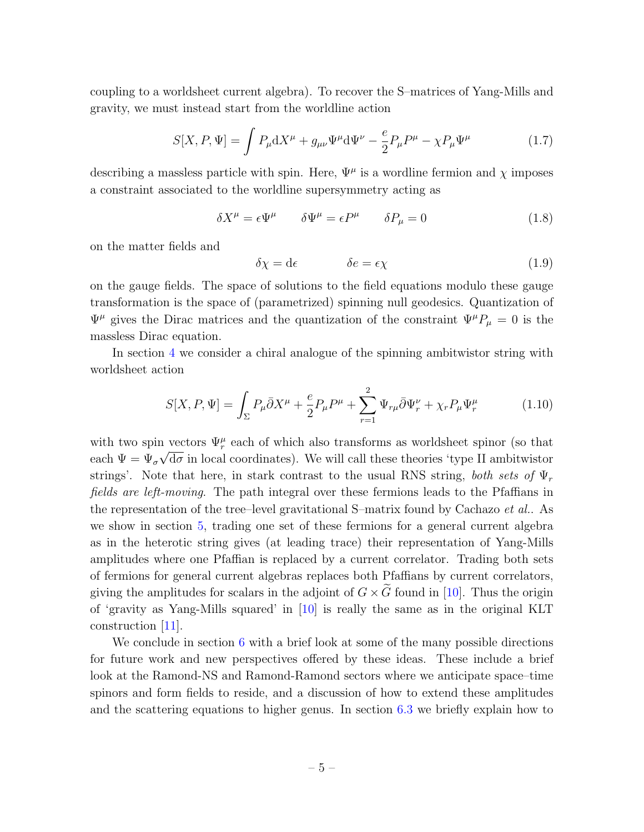coupling to a worldsheet current algebra). To recover the S–matrices of Yang-Mills and gravity, we must instead start from the worldline action

$$
S[X,P,\Psi] = \int P_{\mu} \mathrm{d}X^{\mu} + g_{\mu\nu}\Psi^{\mu} \mathrm{d}\Psi^{\nu} - \frac{e}{2}P_{\mu}P^{\mu} - \chi P_{\mu}\Psi^{\mu} \tag{1.7}
$$

describing a massless particle with spin. Here,  $\Psi^{\mu}$  is a wordline fermion and  $\chi$  imposes a constraint associated to the worldline supersymmetry acting as

$$
\delta X^{\mu} = \epsilon \Psi^{\mu} \qquad \delta \Psi^{\mu} = \epsilon P^{\mu} \qquad \delta P_{\mu} = 0 \tag{1.8}
$$

on the matter fields and

$$
\delta \chi = d\epsilon \qquad \delta e = \epsilon \chi \qquad (1.9)
$$

on the gauge fields. The space of solutions to the field equations modulo these gauge transformation is the space of (parametrized) spinning null geodesics. Quantization of  $\Psi^{\mu}$  gives the Dirac matrices and the quantization of the constraint  $\Psi^{\mu}P_{\mu} = 0$  is the massless Dirac equation.

In section [4](#page-13-0) we consider a chiral analogue of the spinning ambitwistor string with worldsheet action

$$
S[X, P, \Psi] = \int_{\Sigma} P_{\mu} \bar{\partial} X^{\mu} + \frac{e}{2} P_{\mu} P^{\mu} + \sum_{r=1}^{2} \Psi_{r\mu} \bar{\partial} \Psi_{r}^{\nu} + \chi_{r} P_{\mu} \Psi_{r}^{\mu}
$$
(1.10)

with two spin vectors  $\Psi_r^{\mu}$  each of which also transforms as worldsheet spinor (so that each  $\Psi = \Psi_{\sigma} \sqrt{d\sigma}$  in local coordinates). We will call these theories 'type II ambitwistor strings'. Note that here, in stark contrast to the usual RNS string, both sets of  $\Psi_r$ fields are left-moving. The path integral over these fermions leads to the Pfaffians in the representation of the tree–level gravitational S–matrix found by Cachazo et al.. As we show in section [5,](#page-22-0) trading one set of these fermions for a general current algebra as in the heterotic string gives (at leading trace) their representation of Yang-Mills amplitudes where one Pfaffian is replaced by a current correlator. Trading both sets of fermions for general current algebras replaces both Pfaffians by current correlators, giving the amplitudes for scalars in the adjoint of  $G \times G$  found in [\[10\]](#page-30-6). Thus the origin of 'gravity as Yang-Mills squared' in [\[10\]](#page-30-6) is really the same as in the original KLT construction [\[11\]](#page-31-0).

We conclude in section [6](#page-26-0) with a brief look at some of the many possible directions for future work and new perspectives offered by these ideas. These include a brief look at the Ramond-NS and Ramond-Ramond sectors where we anticipate space–time spinors and form fields to reside, and a discussion of how to extend these amplitudes and the scattering equations to higher genus. In section [6.3](#page-27-0) we briefly explain how to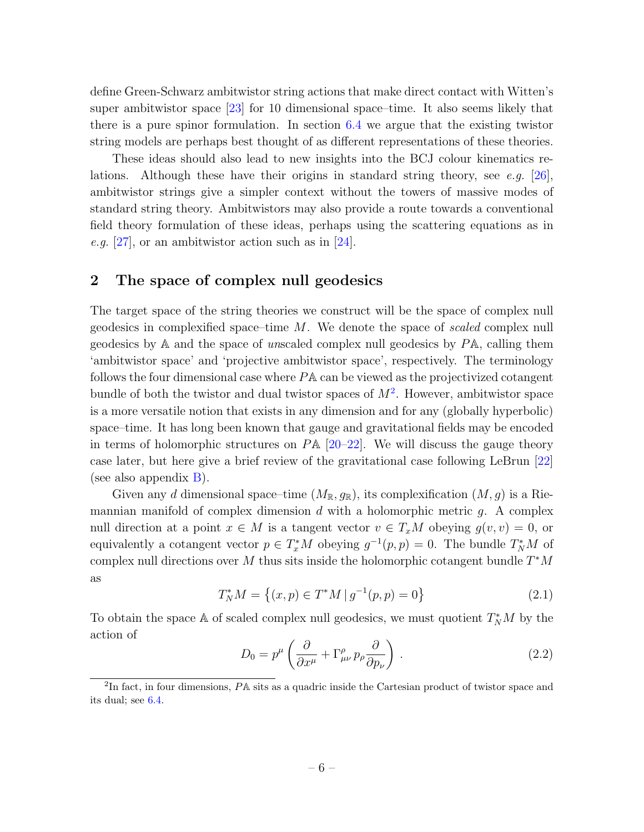define Green-Schwarz ambitwistor string actions that make direct contact with Witten's super ambitwistor space [\[23\]](#page-31-12) for 10 dimensional space–time. It also seems likely that there is a pure spinor formulation. In section [6.4](#page-28-0) we argue that the existing twistor string models are perhaps best thought of as different representations of these theories.

These ideas should also lead to new insights into the BCJ colour kinematics re-lations. Although these have their origins in standard string theory, see e.g. [\[26\]](#page-31-15), ambitwistor strings give a simpler context without the towers of massive modes of standard string theory. Ambitwistors may also provide a route towards a conventional field theory formulation of these ideas, perhaps using the scattering equations as in e.g.  $[27]$ , or an ambitwistor action such as in  $[24]$ .

## <span id="page-5-2"></span>2 The space of complex null geodesics

The target space of the string theories we construct will be the space of complex null geodesics in complexified space–time M. We denote the space of scaled complex null geodesics by A and the space of unscaled complex null geodesics by PA, calling them 'ambitwistor space' and 'projective ambitwistor space', respectively. The terminology follows the four dimensional case where PA can be viewed as the projectivized cotangent bundle of both the twistor and dual twistor spaces of  $M^2$  $M^2$ . However, ambitwistor space is a more versatile notion that exists in any dimension and for any (globally hyperbolic) space–time. It has long been known that gauge and gravitational fields may be encoded in terms of holomorphic structures on  $P\mathbb{A}$  [\[20](#page-31-9)[–22\]](#page-31-11). We will discuss the gauge theory case later, but here give a brief review of the gravitational case following LeBrun [\[22\]](#page-31-11) (see also appendix  $B$ ).

Given any d dimensional space–time  $(M_{\mathbb{R}}, g_{\mathbb{R}})$ , its complexification  $(M, g)$  is a Riemannian manifold of complex dimension d with a holomorphic metric  $g$ . A complex null direction at a point  $x \in M$  is a tangent vector  $v \in T_xM$  obeying  $g(v, v) = 0$ , or equivalently a cotangent vector  $p \in T_x^*M$  obeying  $g^{-1}(p, p) = 0$ . The bundle  $T_N^*M$  of complex null directions over M thus sits inside the holomorphic cotangent bundle  $T^*M$ as

$$
T_N^* M = \left\{ (x, p) \in T^* M \, | \, g^{-1}(p, p) = 0 \right\}
$$
\n(2.1)

To obtain the space A of scaled complex null geodesics, we must quotient  $T^*_NM$  by the action of

<span id="page-5-0"></span>
$$
D_0 = p^{\mu} \left( \frac{\partial}{\partial x^{\mu}} + \Gamma^{\rho}_{\mu\nu} p_{\rho} \frac{\partial}{\partial p_{\nu}} \right) . \tag{2.2}
$$

<span id="page-5-1"></span><sup>&</sup>lt;sup>2</sup>In fact, in four dimensions, PA sits as a quadric inside the Cartesian product of twistor space and its dual; see [6.4.](#page-28-0)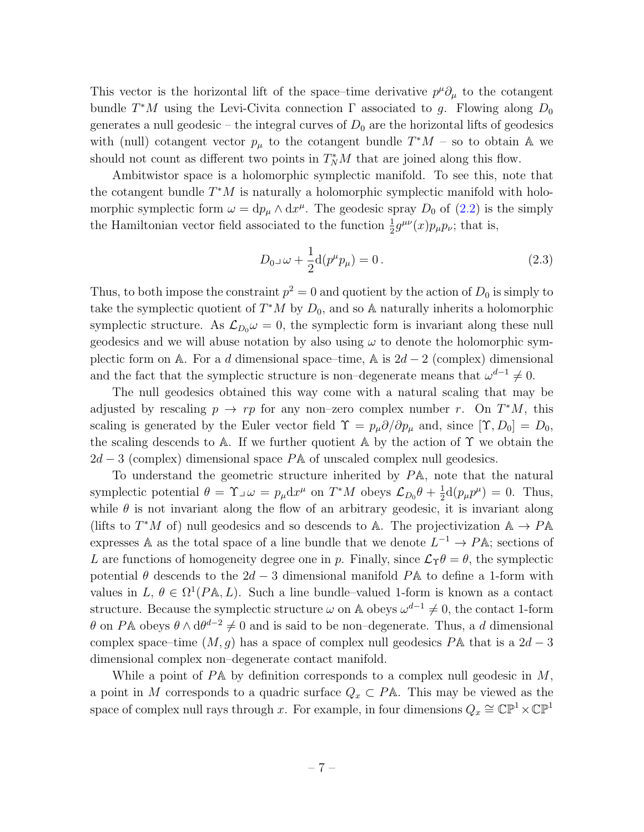This vector is the horizontal lift of the space–time derivative  $p^{\mu}\partial_{\mu}$  to the cotangent bundle  $T^*M$  using the Levi-Civita connection  $\Gamma$  associated to g. Flowing along  $D_0$ generates a null geodesic – the integral curves of  $D_0$  are the horizontal lifts of geodesics with (null) cotangent vector  $p_{\mu}$  to the cotangent bundle  $T^*M$  – so to obtain A we should not count as different two points in  $T_N^*M$  that are joined along this flow.

Ambitwistor space is a holomorphic symplectic manifold. To see this, note that the cotangent bundle  $T^*M$  is naturally a holomorphic symplectic manifold with holomorphic symplectic form  $\omega = dp_{\mu} \wedge dx^{\mu}$ . The geodesic spray  $D_0$  of [\(2.2\)](#page-5-0) is the simply the Hamiltonian vector field associated to the function  $\frac{1}{2}g^{\mu\nu}(x)p_{\mu}p_{\nu}$ ; that is,

$$
D_{0}\lrcorner\,\omega + \frac{1}{2}d(p^{\mu}p_{\mu}) = 0.
$$
\n(2.3)

Thus, to both impose the constraint  $p^2 = 0$  and quotient by the action of  $D_0$  is simply to take the symplectic quotient of  $T^*M$  by  $D_0$ , and so A naturally inherits a holomorphic symplectic structure. As  $\mathcal{L}_{D_0} \omega = 0$ , the symplectic form is invariant along these null geodesics and we will abuse notation by also using  $\omega$  to denote the holomorphic symplectic form on A. For a d dimensional space–time, A is  $2d-2$  (complex) dimensional and the fact that the symplectic structure is non–degenerate means that  $\omega^{d-1} \neq 0$ .

The null geodesics obtained this way come with a natural scaling that may be adjusted by rescaling  $p \to rp$  for any non–zero complex number r. On  $T^*M$ , this scaling is generated by the Euler vector field  $\Upsilon = p_{\mu} \partial / \partial p_{\mu}$  and, since  $[\Upsilon, D_0] = D_0$ , the scaling descends to A. If we further quotient A by the action of  $\Upsilon$  we obtain the  $2d - 3$  (complex) dimensional space PA of unscaled complex null geodesics.

To understand the geometric structure inherited by PA, note that the natural symplectic potential  $\theta = \Upsilon \Box \omega = p_{\mu} dx^{\mu}$  on  $T^*M$  obeys  $\mathcal{L}_{D_0}\theta + \frac{1}{2}$  $\frac{1}{2}d(p_{\mu}p^{\mu}) = 0.$  Thus, while  $\theta$  is not invariant along the flow of an arbitrary geodesic, it is invariant along (lifts to  $T^*M$  of) null geodesics and so descends to A. The projectivization  $A \rightarrow P A$ expresses A as the total space of a line bundle that we denote  $L^{-1} \to P\mathbb{A}$ ; sections of L are functions of homogeneity degree one in p. Finally, since  $\mathcal{L}_{\Upsilon}\theta = \theta$ , the symplectic potential  $\theta$  descends to the 2d – 3 dimensional manifold PA to define a 1-form with values in  $L, \theta \in \Omega^1(P\mathbb{A}, L)$ . Such a line bundle–valued 1-form is known as a contact structure. Because the symplectic structure  $\omega$  on A obeys  $\omega^{d-1} \neq 0$ , the contact 1-form  $\theta$  on PA obeys  $\theta \wedge d\theta^{d-2} \neq 0$  and is said to be non-degenerate. Thus, a d dimensional complex space–time  $(M, q)$  has a space of complex null geodesics PA that is a  $2d - 3$ dimensional complex non–degenerate contact manifold.

While a point of  $P\mathbb{A}$  by definition corresponds to a complex null geodesic in M, a point in M corresponds to a quadric surface  $Q_x \subset P\mathbb{A}$ . This may be viewed as the space of complex null rays through x. For example, in four dimensions  $Q_x \cong \mathbb{CP}^1 \times \mathbb{CP}^1$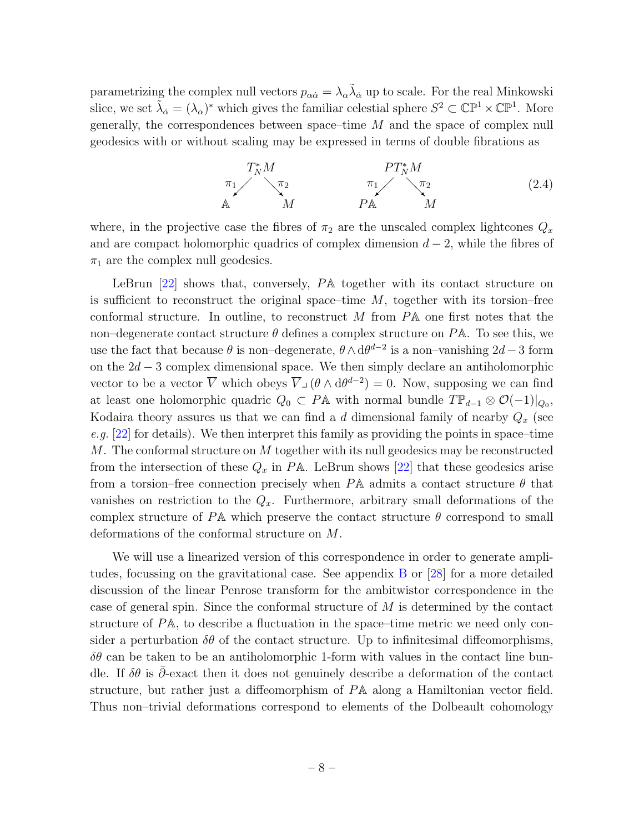parametrizing the complex null vectors  $p_{\alpha\dot{\alpha}} = \lambda_{\alpha} \tilde{\lambda}_{\dot{\alpha}}$  up to scale. For the real Minkowski slice, we set  $\tilde{\lambda}_{\dot{\alpha}} = (\lambda_{\alpha})^*$  which gives the familiar celestial sphere  $S^2 \subset \mathbb{CP}^1 \times \mathbb{CP}^1$ . More generally, the correspondences between space–time M and the space of complex null geodesics with or without scaling may be expressed in terms of double fibrations as

<span id="page-7-0"></span>
$$
\begin{array}{ccc}\nT_N^* M & & PT_N^* M \\
\pi_1 & \pi_2 & & \pi_1 & \pi_2 \\
\mathbb{A} & M & & P\mathbb{A} & M\n\end{array} \tag{2.4}
$$

where, in the projective case the fibres of  $\pi_2$  are the unscaled complex lightcones  $Q_x$ and are compact holomorphic quadrics of complex dimension  $d-2$ , while the fibres of  $\pi_1$  are the complex null geodesics.

LeBrun [\[22\]](#page-31-11) shows that, conversely, PA together with its contact structure on is sufficient to reconstruct the original space–time  $M$ , together with its torsion–free conformal structure. In outline, to reconstruct M from PA one first notes that the non–degenerate contact structure  $\theta$  defines a complex structure on PA. To see this, we use the fact that because  $\theta$  is non-degenerate,  $\theta \wedge d\theta^{d-2}$  is a non-vanishing  $2d-3$  form on the  $2d - 3$  complex dimensional space. We then simply declare an antiholomorphic vector to be a vector  $\overline{V}$  which obeys  $\overline{V}_{\perp}(\theta \wedge d\theta^{d-2}) = 0$ . Now, supposing we can find at least one holomorphic quadric  $Q_0 \subset P\mathbb{A}$  with normal bundle  $T\mathbb{P}_{d-1} \otimes \mathcal{O}(-1)|_{Q_0}$ , Kodaira theory assures us that we can find a d dimensional family of nearby  $Q_x$  (see e.g.  $[22]$  for details). We then interpret this family as providing the points in space–time  $M$ . The conformal structure on  $M$  together with its null geodesics may be reconstructed from the intersection of these  $Q_x$  in PA. LeBrun shows [\[22\]](#page-31-11) that these geodesics arise from a torsion–free connection precisely when  $P\mathbb{A}$  admits a contact structure  $\theta$  that vanishes on restriction to the  $Q_x$ . Furthermore, arbitrary small deformations of the complex structure of PA which preserve the contact structure  $\theta$  correspond to small deformations of the conformal structure on M.

We will use a linearized version of this correspondence in order to generate amplitudes, focussing on the gravitational case. See appendix [B](#page-32-1) or [\[28\]](#page-31-17) for a more detailed discussion of the linear Penrose transform for the ambitwistor correspondence in the case of general spin. Since the conformal structure of  $M$  is determined by the contact structure of PA, to describe a fluctuation in the space–time metric we need only consider a perturbation  $\delta\theta$  of the contact structure. Up to infinitesimal diffeomorphisms,  $\delta\theta$  can be taken to be an antiholomorphic 1-form with values in the contact line bundle. If  $\delta\theta$  is  $\bar{\partial}$ -exact then it does not genuinely describe a deformation of the contact structure, but rather just a diffeomorphism of PA along a Hamiltonian vector field. Thus non–trivial deformations correspond to elements of the Dolbeault cohomology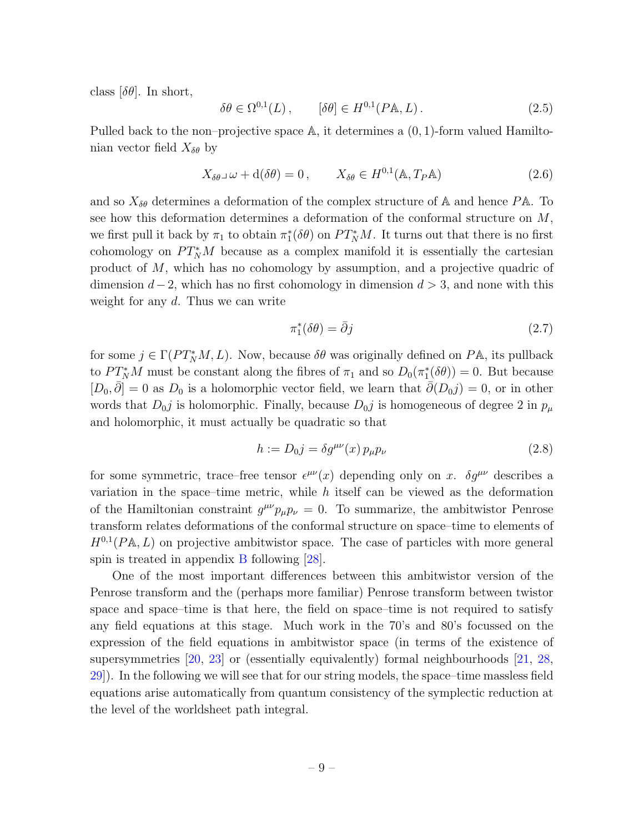class  $[\delta \theta]$ . In short,

$$
\delta\theta \in \Omega^{0,1}(L), \qquad [\delta\theta] \in H^{0,1}(P\mathbb{A}, L). \tag{2.5}
$$

Pulled back to the non–projective space  $\mathbb{A}$ , it determines a  $(0, 1)$ -form valued Hamiltonian vector field  $X_{\delta\theta}$  by

$$
X_{\delta\theta}\lrcorner\,\omega + \mathrm{d}(\delta\theta) = 0\,, \qquad X_{\delta\theta} \in H^{0,1}(\mathbb{A}, T_P\mathbb{A})\tag{2.6}
$$

and so  $X_{\delta\theta}$  determines a deformation of the complex structure of A and hence PA. To see how this deformation determines a deformation of the conformal structure on M, we first pull it back by  $\pi_1$  to obtain  $\pi_1^*(\delta \theta)$  on  $PT_N^*M$ . It turns out that there is no first cohomology on  $PT_N^*M$  because as a complex manifold it is essentially the cartesian product of M, which has no cohomology by assumption, and a projective quadric of dimension  $d-2$ , which has no first cohomology in dimension  $d > 3$ , and none with this weight for any d. Thus we can write

$$
\pi_1^*(\delta \theta) = \bar{\partial}j \tag{2.7}
$$

for some  $j \in \Gamma(PT_N^*M, L)$ . Now, because  $\delta\theta$  was originally defined on  $P\mathbb{A}$ , its pullback to  $PT_N^*M$  must be constant along the fibres of  $\pi_1$  and so  $D_0(\pi_1^*(\delta \theta)) = 0$ . But because  $[D_0, \overline{\partial}] = 0$  as  $D_0$  is a holomorphic vector field, we learn that  $\overline{\partial}(D_0 j) = 0$ , or in other words that  $D_0$ *j* is holomorphic. Finally, because  $D_0$ *j* is homogeneous of degree 2 in  $p_\mu$ and holomorphic, it must actually be quadratic so that

$$
h := D_0 j = \delta g^{\mu\nu}(x) \, p_\mu p_\nu \tag{2.8}
$$

for some symmetric, trace–free tensor  $\epsilon^{\mu\nu}(x)$  depending only on x.  $\delta g^{\mu\nu}$  describes a variation in the space–time metric, while  $h$  itself can be viewed as the deformation of the Hamiltonian constraint  $g^{\mu\nu}p_{\mu}p_{\nu} = 0$ . To summarize, the ambitwistor Penrose transform relates deformations of the conformal structure on space–time to elements of  $H^{0,1}(P\mathbb{A}, L)$  on projective ambitwistor space. The case of particles with more general spin is treated in appendix [B](#page-32-1) following [\[28\]](#page-31-17).

One of the most important differences between this ambitwistor version of the Penrose transform and the (perhaps more familiar) Penrose transform between twistor space and space–time is that here, the field on space–time is not required to satisfy any field equations at this stage. Much work in the 70's and 80's focussed on the expression of the field equations in ambitwistor space (in terms of the existence of supersymmetries [\[20,](#page-31-9) [23\]](#page-31-12) or (essentially equivalently) formal neighbourhoods [\[21,](#page-31-10) [28,](#page-31-17) [29\]](#page-32-2)). In the following we will see that for our string models, the space–time massless field equations arise automatically from quantum consistency of the symplectic reduction at the level of the worldsheet path integral.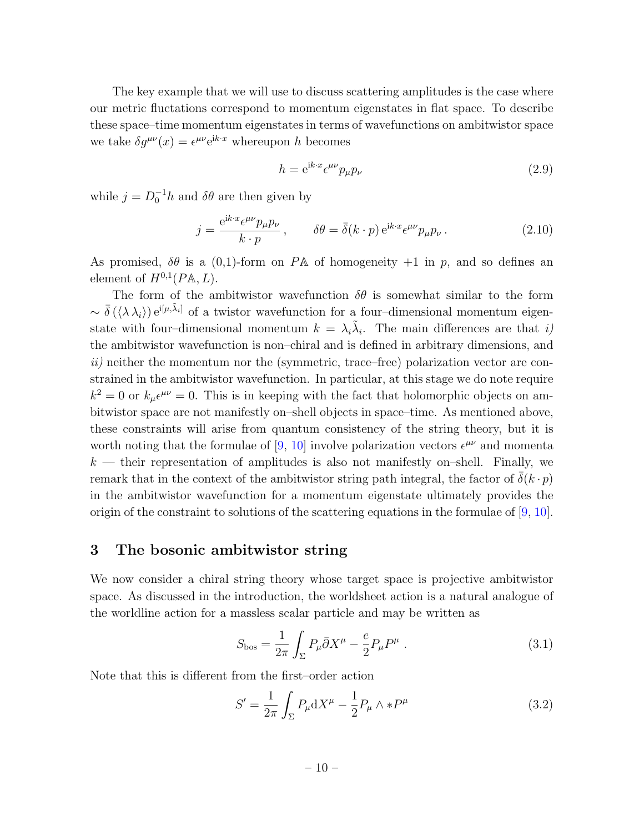The key example that we will use to discuss scattering amplitudes is the case where our metric fluctations correspond to momentum eigenstates in flat space. To describe these space–time momentum eigenstates in terms of wavefunctions on ambitwistor space we take  $\delta g^{\mu\nu}(x) = \epsilon^{\mu\nu} e^{ik \cdot x}$  whereupon h becomes

$$
h = e^{ik \cdot x} \epsilon^{\mu \nu} p_{\mu} p_{\nu}
$$
\n<sup>(2.9)</sup>

while  $j = D_0^{-1}h$  and  $\delta\theta$  are then given by

<span id="page-9-2"></span>
$$
j = \frac{e^{ik \cdot x} \epsilon^{\mu \nu} p_{\mu} p_{\nu}}{k \cdot p}, \qquad \delta \theta = \bar{\delta}(k \cdot p) e^{ik \cdot x} \epsilon^{\mu \nu} p_{\mu} p_{\nu}.
$$
 (2.10)

As promised,  $\delta\theta$  is a (0,1)-form on PA of homogeneity +1 in p, and so defines an element of  $H^{0,1}(P\mathbb{A}, L)$ .

The form of the ambitwistor wavefunction  $\delta\theta$  is somewhat similar to the form  $\sim \bar{\delta}(\langle \lambda \lambda_i \rangle) e^{i[\mu,\tilde{\lambda}_i]}$  of a twistor wavefunction for a four-dimensional momentum eigenstate with four-dimensional momentum  $k = \lambda_i \tilde{\lambda}_i$ . The main differences are that i) the ambitwistor wavefunction is non–chiral and is defined in arbitrary dimensions, and  $ii)$  neither the momentum nor the (symmetric, trace–free) polarization vector are constrained in the ambitwistor wavefunction. In particular, at this stage we do note require  $k^2 = 0$  or  $k_\mu \epsilon^{\mu\nu} = 0$ . This is in keeping with the fact that holomorphic objects on ambitwistor space are not manifestly on–shell objects in space–time. As mentioned above, these constraints will arise from quantum consistency of the string theory, but it is worth noting that the formulae of [\[9,](#page-30-8) [10\]](#page-30-6) involve polarization vectors  $\epsilon^{\mu\nu}$  and momenta  $k$  — their representation of amplitudes is also not manifestly on–shell. Finally, we remark that in the context of the ambitwistor string path integral, the factor of  $\bar{\delta}(k \cdot p)$ in the ambitwistor wavefunction for a momentum eigenstate ultimately provides the origin of the constraint to solutions of the scattering equations in the formulae of  $(9, 10]$  $(9, 10]$ .

## <span id="page-9-0"></span>3 The bosonic ambitwistor string

We now consider a chiral string theory whose target space is projective ambitwistor space. As discussed in the introduction, the worldsheet action is a natural analogue of the worldline action for a massless scalar particle and may be written as

$$
S_{\rm bos} = \frac{1}{2\pi} \int_{\Sigma} P_{\mu} \bar{\partial} X^{\mu} - \frac{e}{2} P_{\mu} P^{\mu} . \qquad (3.1)
$$

Note that this is different from the first–order action

<span id="page-9-1"></span>
$$
S' = \frac{1}{2\pi} \int_{\Sigma} P_{\mu} dX^{\mu} - \frac{1}{2} P_{\mu} \wedge *P^{\mu}
$$
 (3.2)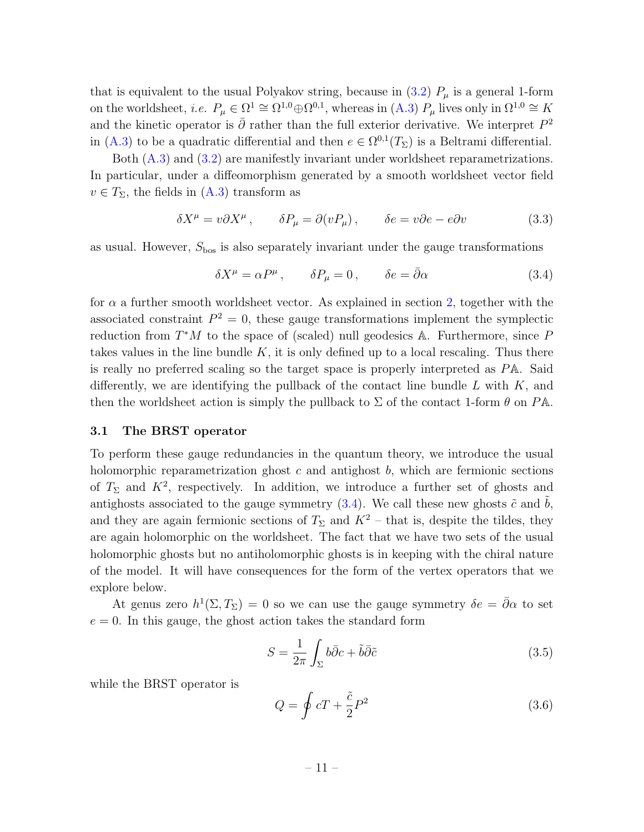that is equivalent to the usual Polyakov string, because in [\(3.2\)](#page-9-1)  $P_\mu$  is a general 1-form on the worldsheet, *i.e.*  $P_{\mu} \in \Omega^1 \cong \Omega^{1,0} \oplus \Omega^{0,1}$ , whereas in [\(A.3\)](#page-32-3)  $P_{\mu}$  lives only in  $\Omega^{1,0} \cong K$ and the kinetic operator is  $\bar{\partial}$  rather than the full exterior derivative. We interpret  $P^2$ in [\(A.3\)](#page-32-3) to be a quadratic differential and then  $e \in \Omega^{0,1}(T_{\Sigma})$  is a Beltrami differential.

Both  $(A.3)$  and  $(3.2)$  are manifestly invariant under worldsheet reparametrizations. In particular, under a diffeomorphism generated by a smooth worldsheet vector field  $v \in T_{\Sigma}$ , the fields in  $(A.3)$  transform as

$$
\delta X^{\mu} = v \partial X^{\mu}, \qquad \delta P_{\mu} = \partial (v P_{\mu}), \qquad \delta e = v \partial e - e \partial v \tag{3.3}
$$

as usual. However,  $S_{\text{bos}}$  is also separately invariant under the gauge transformations

<span id="page-10-0"></span>
$$
\delta X^{\mu} = \alpha P^{\mu} , \qquad \delta P_{\mu} = 0 , \qquad \delta e = \bar{\partial} \alpha
$$
 (3.4)

for  $\alpha$  a further smooth worldsheet vector. As explained in section [2,](#page-5-2) together with the associated constraint  $P^2 = 0$ , these gauge transformations implement the symplectic reduction from  $T^*M$  to the space of (scaled) null geodesics A. Furthermore, since P takes values in the line bundle  $K$ , it is only defined up to a local rescaling. Thus there is really no preferred scaling so the target space is properly interpreted as PA. Said differently, we are identifying the pullback of the contact line bundle  $L$  with  $K$ , and then the worldsheet action is simply the pullback to  $\Sigma$  of the contact 1-form  $\theta$  on PA.

#### 3.1 The BRST operator

To perform these gauge redundancies in the quantum theory, we introduce the usual holomorphic reparametrization ghost c and antighost  $b$ , which are fermionic sections of  $T_{\Sigma}$  and  $K^2$ , respectively. In addition, we introduce a further set of ghosts and antighosts associated to the gauge symmetry  $(3.4)$ . We call these new ghosts  $\tilde{c}$  and  $\tilde{b}$ , and they are again fermionic sections of  $T_{\Sigma}$  and  $K^2$  – that is, despite the tildes, they are again holomorphic on the worldsheet. The fact that we have two sets of the usual holomorphic ghosts but no antiholomorphic ghosts is in keeping with the chiral nature of the model. It will have consequences for the form of the vertex operators that we explore below.

At genus zero  $h^1(\Sigma,T_\Sigma) = 0$  so we can use the gauge symmetry  $\delta e = \bar{\partial}\alpha$  to set  $e = 0$ . In this gauge, the ghost action takes the standard form

$$
S = \frac{1}{2\pi} \int_{\Sigma} b\bar{\partial}c + \tilde{b}\bar{\partial}\tilde{c}
$$
 (3.5)

while the BRST operator is

<span id="page-10-1"></span>
$$
Q = \oint cT + \frac{\tilde{c}}{2} P^2 \tag{3.6}
$$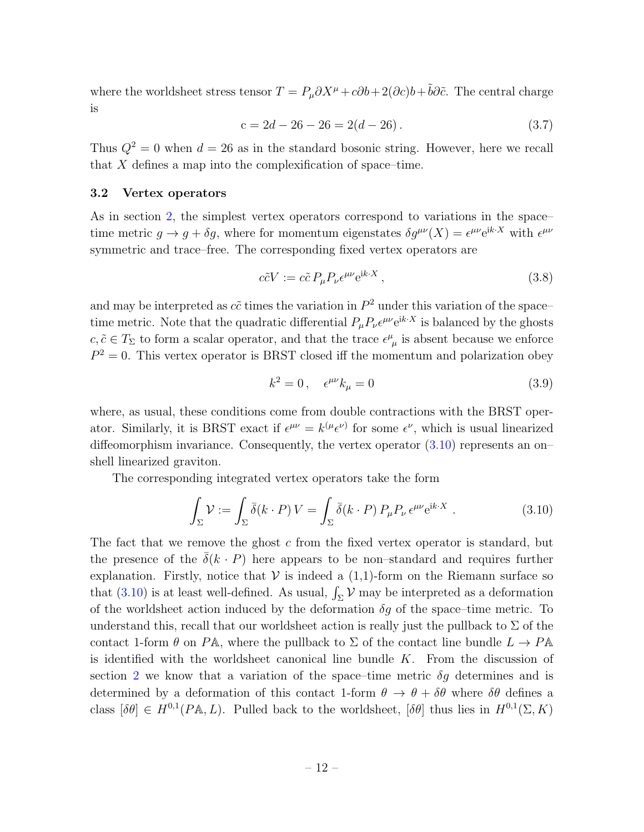where the worldsheet stress tensor  $T = P_\mu \partial X^\mu + c \partial b + 2(\partial c) b + \tilde{b} \partial \tilde{c}$ . The central charge is

$$
c = 2d - 26 - 26 = 2(d - 26).
$$
 (3.7)

Thus  $Q^2 = 0$  when  $d = 26$  as in the standard bosonic string. However, here we recall that  $X$  defines a map into the complexification of space–time.

#### 3.2 Vertex operators

As in section [2,](#page-5-2) the simplest vertex operators correspond to variations in the space– time metric  $g \to g + \delta g$ , where for momentum eigenstates  $\delta g^{\mu\nu}(X) = \epsilon^{\mu\nu} e^{ik \cdot X}$  with  $\epsilon^{\mu\nu}$ symmetric and trace–free. The corresponding fixed vertex operators are

<span id="page-11-2"></span>
$$
c\tilde{c}V := c\tilde{c} P_{\mu}P_{\nu}\epsilon^{\mu\nu}e^{ik \cdot X}, \qquad (3.8)
$$

and may be interpreted as  $c\tilde{c}$  times the variation in  $P^2$  under this variation of the spacetime metric. Note that the quadratic differential  $P_{\mu}P_{\nu}\epsilon^{\mu\nu}e^{ik\cdot X}$  is balanced by the ghosts  $c, \tilde{c} \in T_{\Sigma}$  to form a scalar operator, and that the trace  $\epsilon^{\mu}_{\mu}$  is absent because we enforce  $P^2 = 0$ . This vertex operator is BRST closed iff the momentum and polarization obey

<span id="page-11-1"></span>
$$
k^2 = 0, \quad \epsilon^{\mu\nu} k_\mu = 0 \tag{3.9}
$$

where, as usual, these conditions come from double contractions with the BRST operator. Similarly, it is BRST exact if  $\epsilon^{\mu\nu} = k^{(\mu} \epsilon^{\nu)}$  for some  $\epsilon^{\nu}$ , which is usual linearized diffeomorphism invariance. Consequently, the vertex operator  $(3.10)$  represents an on– shell linearized graviton.

The corresponding integrated vertex operators take the form

<span id="page-11-0"></span>
$$
\int_{\Sigma} \mathcal{V} := \int_{\Sigma} \bar{\delta}(k \cdot P) V = \int_{\Sigma} \bar{\delta}(k \cdot P) P_{\mu} P_{\nu} \epsilon^{\mu \nu} e^{ik \cdot X} . \tag{3.10}
$$

The fact that we remove the ghost  $c$  from the fixed vertex operator is standard, but the presence of the  $\delta(k \cdot P)$  here appears to be non-standard and requires further explanation. Firstly, notice that  $V$  is indeed a  $(1,1)$ -form on the Riemann surface so that [\(3.10\)](#page-11-0) is at least well-defined. As usual,  $\int_{\Sigma} \mathcal{V}$  may be interpreted as a deformation of the worldsheet action induced by the deformation  $\delta g$  of the space–time metric. To understand this, recall that our worldsheet action is really just the pullback to  $\Sigma$  of the contact 1-form  $\theta$  on PA, where the pullback to  $\Sigma$  of the contact line bundle  $L \to P\mathbb{A}$ is identified with the worldsheet canonical line bundle  $K$ . From the discussion of section [2](#page-5-2) we know that a variation of the space–time metric  $\delta g$  determines and is determined by a deformation of this contact 1-form  $\theta \to \theta + \delta \theta$  where  $\delta \theta$  defines a class  $[\delta \theta] \in H^{0,1}(P\mathbb{A}, L)$ . Pulled back to the worldsheet,  $[\delta \theta]$  thus lies in  $H^{0,1}(\Sigma, K)$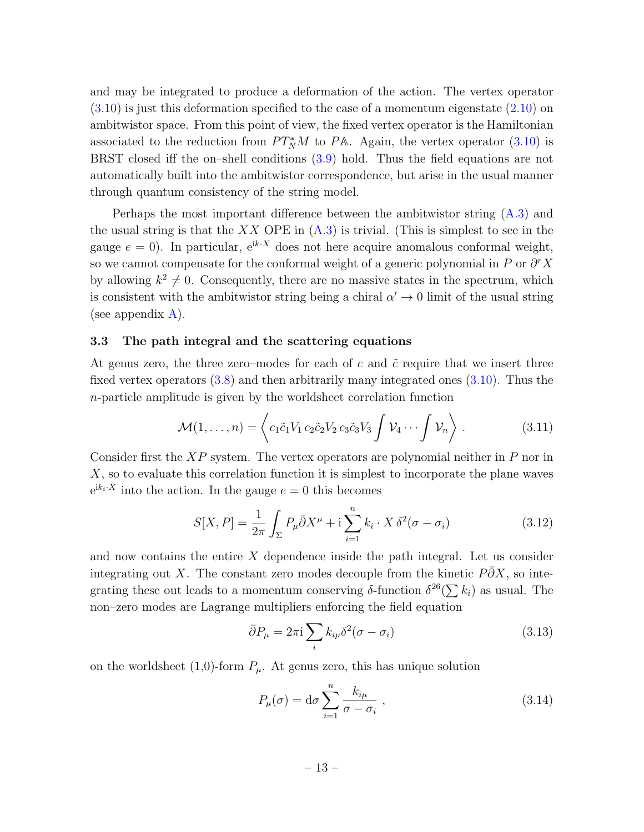and may be integrated to produce a deformation of the action. The vertex operator  $(3.10)$  is just this deformation specified to the case of a momentum eigenstate  $(2.10)$  on ambitwistor space. From this point of view, the fixed vertex operator is the Hamiltonian associated to the reduction from  $PT_N^*M$  to PA. Again, the vertex operator [\(3.10\)](#page-11-0) is BRST closed iff the on–shell conditions [\(3.9\)](#page-11-1) hold. Thus the field equations are not automatically built into the ambitwistor correspondence, but arise in the usual manner through quantum consistency of the string model.

Perhaps the most important difference between the ambitwistor string [\(A.3\)](#page-32-3) and the usual string is that the  $XX$  OPE in  $(A.3)$  is trivial. (This is simplest to see in the gauge  $e = 0$ ). In particular,  $e^{ik \cdot X}$  does not here acquire anomalous conformal weight, so we cannot compensate for the conformal weight of a generic polynomial in P or  $\partial^r X$ by allowing  $k^2 \neq 0$ . Consequently, there are no massive states in the spectrum, which is consistent with the ambitwistor string being a chiral  $\alpha' \to 0$  limit of the usual string (see appendix  $A$ ).

#### 3.3 The path integral and the scattering equations

At genus zero, the three zero–modes for each of  $c$  and  $\tilde{c}$  require that we insert three fixed vertex operators  $(3.8)$  and then arbitrarily many integrated ones  $(3.10)$ . Thus the n-particle amplitude is given by the worldsheet correlation function

<span id="page-12-0"></span>
$$
\mathcal{M}(1,\ldots,n) = \left\langle c_1 \tilde{c}_1 V_1 c_2 \tilde{c}_2 V_2 c_3 \tilde{c}_3 V_3 \int \mathcal{V}_4 \cdots \int \mathcal{V}_n \right\rangle. \tag{3.11}
$$

Consider first the  $XP$  system. The vertex operators are polynomial neither in P nor in  $X$ , so to evaluate this correlation function it is simplest to incorporate the plane waves  $e^{ik_i \cdot X}$  into the action. In the gauge  $e = 0$  this becomes

$$
S[X, P] = \frac{1}{2\pi} \int_{\Sigma} P_{\mu} \bar{\partial} X^{\mu} + \mathbf{i} \sum_{i=1}^{n} k_i \cdot X \, \delta^2(\sigma - \sigma_i)
$$
 (3.12)

and now contains the entire X dependence inside the path integral. Let us consider integrating out X. The constant zero modes decouple from the kinetic  $P\partial X$ , so integrating these out leads to a momentum conserving  $\delta$ -function  $\delta^{26}(\sum k_i)$  as usual. The non–zero modes are Lagrange multipliers enforcing the field equation

$$
\bar{\partial}P_{\mu} = 2\pi i \sum_{i} k_{i\mu} \delta^{2} (\sigma - \sigma_{i})
$$
\n(3.13)

on the worldsheet (1,0)-form  $P_{\mu}$ . At genus zero, this has unique solution

<span id="page-12-1"></span>
$$
P_{\mu}(\sigma) = d\sigma \sum_{i=1}^{n} \frac{k_{i\mu}}{\sigma - \sigma_i}, \qquad (3.14)
$$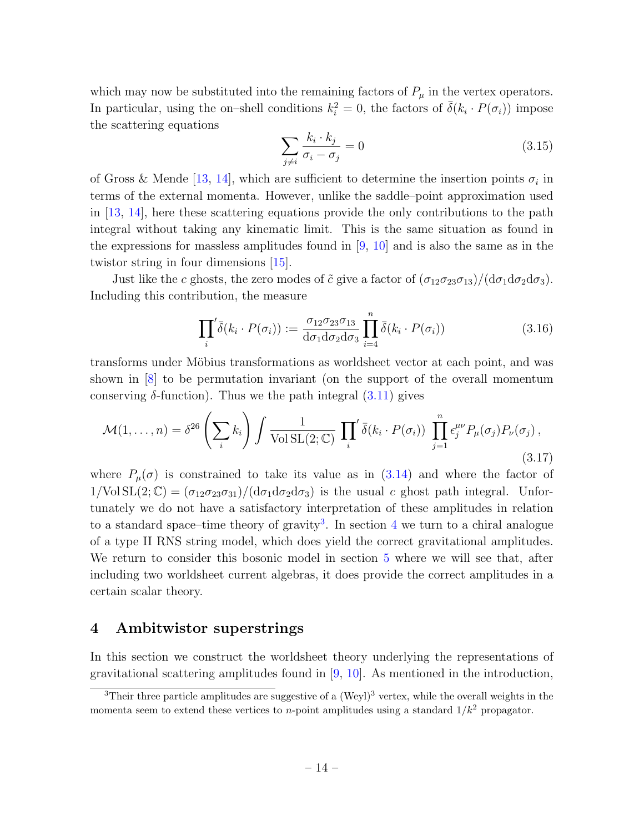which may now be substituted into the remaining factors of  $P_\mu$  in the vertex operators. In particular, using the on-shell conditions  $k_i^2 = 0$ , the factors of  $\bar{\delta}(k_i \cdot P(\sigma_i))$  impose the scattering equations

$$
\sum_{j \neq i} \frac{k_i \cdot k_j}{\sigma_i - \sigma_j} = 0 \tag{3.15}
$$

of Gross & Mende [\[13,](#page-31-2) [14\]](#page-31-3), which are sufficient to determine the insertion points  $\sigma_i$  in terms of the external momenta. However, unlike the saddle–point approximation used in [\[13,](#page-31-2) [14\]](#page-31-3), here these scattering equations provide the only contributions to the path integral without taking any kinematic limit. This is the same situation as found in the expressions for massless amplitudes found in  $[9, 10]$  $[9, 10]$  and is also the same as in the twistor string in four dimensions [\[15\]](#page-31-4).

Just like the c ghosts, the zero modes of  $\tilde{c}$  give a factor of  $(\sigma_{12}\sigma_{23}\sigma_{13})/(\mathrm{d}\sigma_1\mathrm{d}\sigma_2\mathrm{d}\sigma_3)$ . Including this contribution, the measure

$$
\prod_{i} \overline{\delta}(k_i \cdot P(\sigma_i)) := \frac{\sigma_{12} \sigma_{23} \sigma_{13}}{d \sigma_1 d \sigma_2 d \sigma_3} \prod_{i=4}^{n} \overline{\delta}(k_i \cdot P(\sigma_i))
$$
\n(3.16)

transforms under Möbius transformations as worldsheet vector at each point, and was shown in [\[8\]](#page-30-9) to be permutation invariant (on the support of the overall momentum conserving  $\delta$ -function). Thus we the path integral  $(3.11)$  gives

$$
\mathcal{M}(1,\ldots,n) = \delta^{26} \left(\sum_{i} k_{i}\right) \int \frac{1}{\text{Vol SL}(2;\mathbb{C})} \prod_{i} \bar{\delta}(k_{i} \cdot P(\sigma_{i})) \prod_{j=1}^{n} \epsilon_{j}^{\mu\nu} P_{\mu}(\sigma_{j}) P_{\nu}(\sigma_{j}),
$$
\n(3.17)

where  $P_{\mu}(\sigma)$  is constrained to take its value as in [\(3.14\)](#page-12-1) and where the factor of  $1/\text{Vol} \, SL(2;\mathbb{C}) = (\sigma_{12}\sigma_{23}\sigma_{31})/(\text{d}\sigma_1\text{d}\sigma_2\text{d}\sigma_3)$  is the usual c ghost path integral. Unfortunately we do not have a satisfactory interpretation of these amplitudes in relation to a standard space–time theory of gravity<sup>[3](#page-13-1)</sup>. In section [4](#page-13-0) we turn to a chiral analogue of a type II RNS string model, which does yield the correct gravitational amplitudes. We return to consider this bosonic model in section [5](#page-22-0) where we will see that, after including two worldsheet current algebras, it does provide the correct amplitudes in a certain scalar theory.

## <span id="page-13-0"></span>4 Ambitwistor superstrings

In this section we construct the worldsheet theory underlying the representations of gravitational scattering amplitudes found in  $[9, 10]$  $[9, 10]$ . As mentioned in the introduction,

<span id="page-13-1"></span> $3$ Their three particle amplitudes are suggestive of a (Weyl)<sup>3</sup> vertex, while the overall weights in the momenta seem to extend these vertices to *n*-point amplitudes using a standard  $1/k^2$  propagator.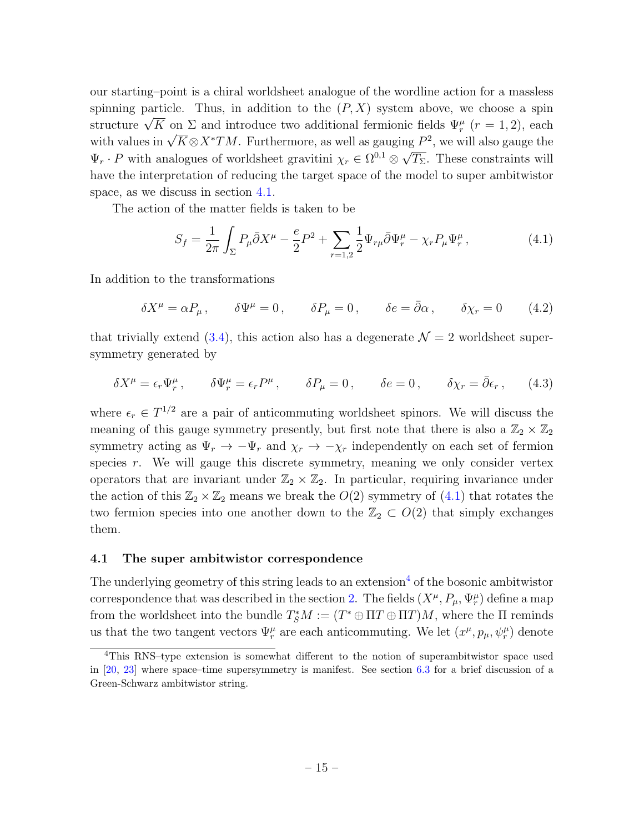our starting–point is a chiral worldsheet analogue of the wordline action for a massless spinning particle. Thus, in addition to the  $(P, X)$  system above, we choose a spin spinning particle. Thus, in addition to the  $(T, \Lambda)$  system above, we choose a spin<br>structure  $\sqrt{K}$  on  $\Sigma$  and introduce two additional fermionic fields  $\Psi_r^{\mu}$   $(r = 1, 2)$ , each structure  $\sqrt{K}$  on  $\mathbb{Z}$  and introduce two additional fermionic neids  $\Psi'_r$  ( $r = 1, 2$ ), each with values in  $\sqrt{K} \otimes X^* TM$ . Furthermore, as well as gauging  $P^2$ , we will also gauge the  $\Psi_r \cdot P$  with analogues of worldsheet gravitini  $\chi_r \in \Omega^{0,1}$   $\otimes$ ع⊔<br>∕  $\overline{T_{\Sigma}}$ . These constraints will have the interpretation of reducing the target space of the model to super ambitwistor space, as we discuss in section [4.1.](#page-14-0)

The action of the matter fields is taken to be

<span id="page-14-1"></span>
$$
S_f = \frac{1}{2\pi} \int_{\Sigma} P_{\mu} \bar{\partial} X^{\mu} - \frac{e}{2} P^2 + \sum_{r=1,2} \frac{1}{2} \Psi_{r\mu} \bar{\partial} \Psi^{\mu}_r - \chi_r P_{\mu} \Psi^{\mu}_r, \qquad (4.1)
$$

In addition to the transformations

<span id="page-14-4"></span>
$$
\delta X^{\mu} = \alpha P_{\mu} , \qquad \delta \Psi^{\mu} = 0 , \qquad \delta P_{\mu} = 0 , \qquad \delta e = \bar{\partial} \alpha , \qquad \delta \chi_{r} = 0 \tag{4.2}
$$

that trivially extend [\(3.4\)](#page-10-0), this action also has a degenerate  $\mathcal{N} = 2$  worldsheet supersymmetry generated by

<span id="page-14-3"></span>
$$
\delta X^{\mu} = \epsilon_r \Psi_r^{\mu}, \qquad \delta \Psi_r^{\mu} = \epsilon_r P^{\mu}, \qquad \delta P_{\mu} = 0, \qquad \delta e = 0, \qquad \delta \chi_r = \bar{\partial} \epsilon_r, \qquad (4.3)
$$

where  $\epsilon_r \in T^{1/2}$  are a pair of anticommuting worldsheet spinors. We will discuss the meaning of this gauge symmetry presently, but first note that there is also a  $\mathbb{Z}_2 \times \mathbb{Z}_2$ symmetry acting as  $\Psi_r \to -\Psi_r$  and  $\chi_r \to -\chi_r$  independently on each set of fermion species  $r$ . We will gauge this discrete symmetry, meaning we only consider vertex operators that are invariant under  $\mathbb{Z}_2 \times \mathbb{Z}_2$ . In particular, requiring invariance under the action of this  $\mathbb{Z}_2 \times \mathbb{Z}_2$  means we break the  $O(2)$  symmetry of  $(4.1)$  that rotates the two fermion species into one another down to the  $\mathbb{Z}_2 \subset O(2)$  that simply exchanges them.

#### <span id="page-14-0"></span>4.1 The super ambitwistor correspondence

The underlying geometry of this string leads to an extension<sup>[4](#page-14-2)</sup> of the bosonic ambitwistor correspondence that was described in the section [2.](#page-5-2) The fields  $(X^{\mu}, P_{\mu}, \Psi_{r}^{\mu})$  define a map from the worldsheet into the bundle  $T^*_S M := (T^* \oplus \Pi T \oplus \Pi T)M$ , where the  $\Pi$  reminds us that the two tangent vectors  $\Psi_r^{\mu}$  are each anticommuting. We let  $(x^{\mu}, p_{\mu}, \psi_r^{\mu})$  denote

<span id="page-14-2"></span><sup>4</sup>This RNS–type extension is somewhat different to the notion of superambitwistor space used in [\[20,](#page-31-9) [23\]](#page-31-12) where space–time supersymmetry is manifest. See section [6.3](#page-27-0) for a brief discussion of a Green-Schwarz ambitwistor string.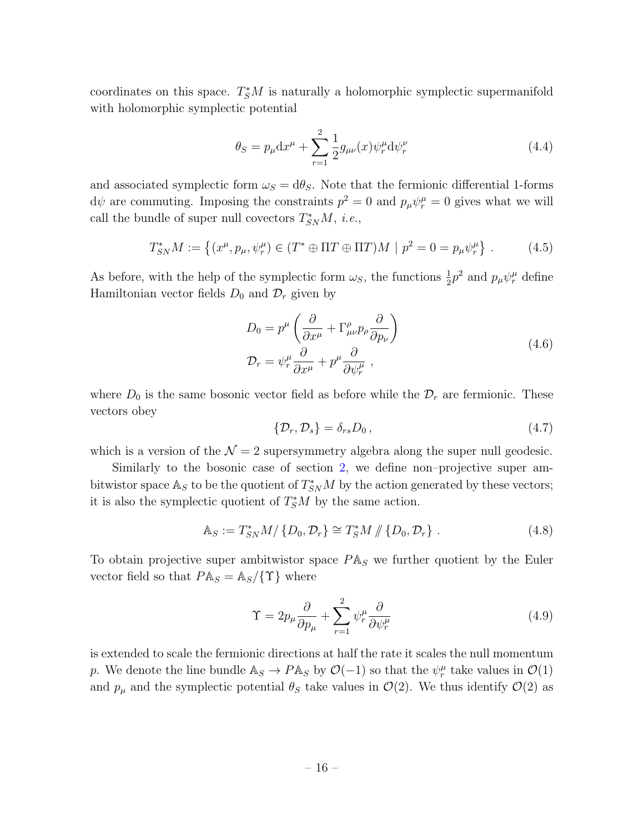coordinates on this space.  $T^*_{\mathcal{S}}M$  is naturally a holomorphic symplectic supermanifold with holomorphic symplectic potential

$$
\theta_S = p_{\mu} dx^{\mu} + \sum_{r=1}^{2} \frac{1}{2} g_{\mu\nu}(x) \psi_r^{\mu} d\psi_r^{\nu}
$$
\n(4.4)

and associated symplectic form  $\omega_s = d\theta_s$ . Note that the fermionic differential 1-forms  $d\psi$  are commuting. Imposing the constraints  $p^2 = 0$  and  $p_\mu \psi_r^\mu = 0$  gives what we will call the bundle of super null covectors  $T_{SN}^*M$ , *i.e.*,

$$
T_{SN}^* M := \left\{ (x^{\mu}, p_{\mu}, \psi_r^{\mu}) \in (T^* \oplus \Pi T \oplus \Pi T)M \mid p^2 = 0 = p_{\mu} \psi_r^{\mu} \right\}.
$$
 (4.5)

As before, with the help of the symplectic form  $\omega_s$ , the functions  $\frac{1}{2}p^2$  and  $p_\mu\psi_r^\mu$  define Hamiltonian vector fields  $D_0$  and  $\mathcal{D}_r$  given by

$$
D_0 = p^{\mu} \left( \frac{\partial}{\partial x^{\mu}} + \Gamma^{\rho}_{\mu\nu} p_{\rho} \frac{\partial}{\partial p_{\nu}} \right)
$$
  

$$
D_r = \psi^{\mu}_r \frac{\partial}{\partial x^{\mu}} + p^{\mu} \frac{\partial}{\partial \psi^{\mu}_r} ,
$$
 (4.6)

where  $D_0$  is the same bosonic vector field as before while the  $\mathcal{D}_r$  are fermionic. These vectors obey

$$
\{\mathcal{D}_r, \mathcal{D}_s\} = \delta_{rs} D_0, \qquad (4.7)
$$

which is a version of the  $\mathcal{N} = 2$  supersymmetry algebra along the super null geodesic.

Similarly to the bosonic case of section [2,](#page-5-2) we define non–projective super ambitwistor space  $\mathbb{A}_S$  to be the quotient of  $T_{SN}^*M$  by the action generated by these vectors; it is also the symplectic quotient of  $T^*_S M$  by the same action.

$$
\mathbb{A}_S := T_{SN}^* M / \{ D_0, \mathcal{D}_r \} \cong T_S^* M / \{ D_0, \mathcal{D}_r \} . \tag{4.8}
$$

To obtain projective super ambitwistor space  $P\mathbb{A}_S$  we further quotient by the Euler vector field so that  $P \mathbb{A}_S = \mathbb{A}_S / \{ \Upsilon \}$  where

$$
\Upsilon = 2p_{\mu}\frac{\partial}{\partial p_{\mu}} + \sum_{r=1}^{2} \psi_r^{\mu} \frac{\partial}{\partial \psi_r^{\mu}}
$$
(4.9)

is extended to scale the fermionic directions at half the rate it scales the null momentum p. We denote the line bundle  $\mathbb{A}_S \to P \mathbb{A}_S$  by  $\mathcal{O}(-1)$  so that the  $\psi_r^{\mu}$  take values in  $\mathcal{O}(1)$ and  $p_{\mu}$  and the symplectic potential  $\theta_{S}$  take values in  $\mathcal{O}(2)$ . We thus identify  $\mathcal{O}(2)$  as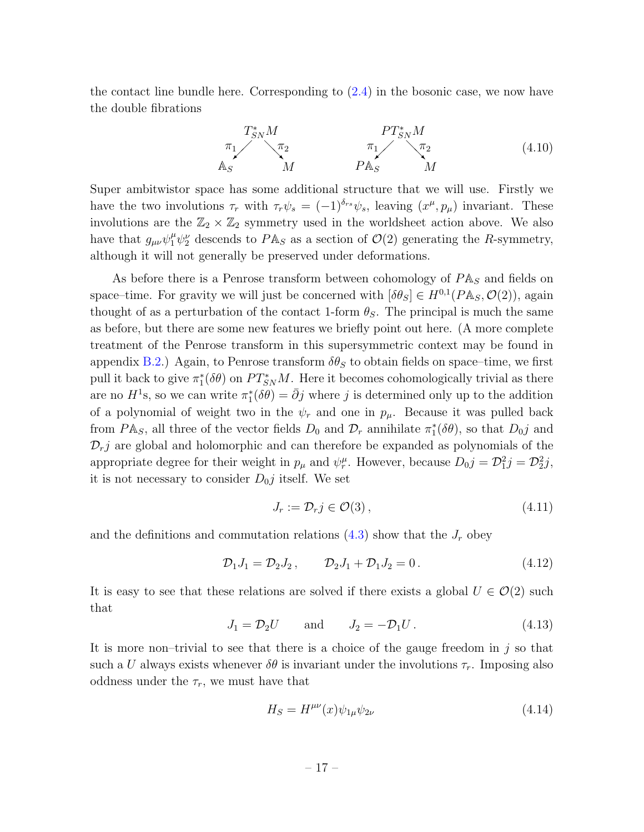the contact line bundle here. Corresponding to [\(2.4\)](#page-7-0) in the bosonic case, we now have the double fibrations

$$
T_{SN}^{*}M
$$
\n
$$
\pi_{1} \qquad \pi_{2} \qquad \pi_{1} \qquad \pi_{2}
$$
\n
$$
A_{S} \qquad M \qquad P T_{SN}^{*}M
$$
\n
$$
A_{S} \qquad M \qquad \qquad P A_{S} \qquad M \qquad (4.10)
$$

Super ambitwistor space has some additional structure that we will use. Firstly we have the two involutions  $\tau_r$  with  $\tau_r \psi_s = (-1)^{\delta_{rs}} \psi_s$ , leaving  $(x^{\mu}, p_{\mu})$  invariant. These involutions are the  $\mathbb{Z}_2 \times \mathbb{Z}_2$  symmetry used in the worldsheet action above. We also have that  $g_{\mu\nu}\psi_1^{\mu}\psi_2^{\nu}$  descends to  $P\mathbb{A}_S$  as a section of  $\mathcal{O}(2)$  generating the R-symmetry, although it will not generally be preserved under deformations.

As before there is a Penrose transform between cohomology of  $P\mathbb{A}_S$  and fields on space–time. For gravity we will just be concerned with  $[\delta \theta_S] \in H^{0,1}(P\mathbb{A}_S, \mathcal{O}(2))$ , again thought of as a perturbation of the contact 1-form  $\theta_{S}$ . The principal is much the same as before, but there are some new features we briefly point out here. (A more complete treatment of the Penrose transform in this supersymmetric context may be found in appendix [B.2.](#page-35-0)) Again, to Penrose transform  $\delta\theta_S$  to obtain fields on space–time, we first pull it back to give  $\pi_1^*(\delta \theta)$  on  $PT_{SN}^*M$ . Here it becomes cohomologically trivial as there are no  $H^1$ s, so we can write  $\pi_1^*(\delta \theta) = \bar{\partial} j$  where j is determined only up to the addition of a polynomial of weight two in the  $\psi_r$  and one in  $p_\mu$ . Because it was pulled back from  $P\mathbb{A}_S$ , all three of the vector fields  $D_0$  and  $\mathcal{D}_r$  annihilate  $\pi_1^*(\delta\theta)$ , so that  $D_0j$  and  $\mathcal{D}_r$  are global and holomorphic and can therefore be expanded as polynomials of the appropriate degree for their weight in  $p_\mu$  and  $\psi_r^\mu$ . However, because  $D_0 j = \mathcal{D}_1^2 j = \mathcal{D}_2^2 j$ , it is not necessary to consider  $D_{0}j$  itself. We set

$$
J_r := \mathcal{D}_r j \in \mathcal{O}(3),\tag{4.11}
$$

and the definitions and commutation relations  $(4.3)$  show that the  $J_r$  obey

$$
\mathcal{D}_1 J_1 = \mathcal{D}_2 J_2, \qquad \mathcal{D}_2 J_1 + \mathcal{D}_1 J_2 = 0. \qquad (4.12)
$$

It is easy to see that these relations are solved if there exists a global  $U \in \mathcal{O}(2)$  such that

$$
J_1 = \mathcal{D}_2 U \qquad \text{and} \qquad J_2 = -\mathcal{D}_1 U \,. \tag{4.13}
$$

It is more non–trivial to see that there is a choice of the gauge freedom in  $j$  so that such a U always exists whenever  $\delta\theta$  is invariant under the involutions  $\tau_r$ . Imposing also oddness under the  $\tau_r$ , we must have that

$$
H_S = H^{\mu\nu}(x)\psi_{1\mu}\psi_{2\nu}
$$
\n(4.14)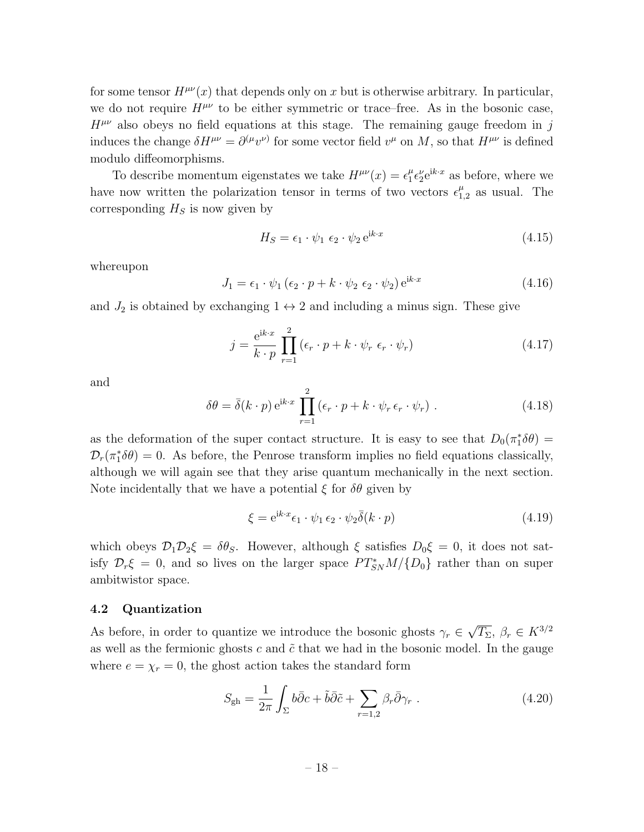for some tensor  $H^{\mu\nu}(x)$  that depends only on x but is otherwise arbitrary. In particular, we do not require  $H^{\mu\nu}$  to be either symmetric or trace–free. As in the bosonic case,  $H^{\mu\nu}$  also obeys no field equations at this stage. The remaining gauge freedom in j induces the change  $\delta H^{\mu\nu} = \partial^{(\mu}v^{\nu)}$  for some vector field  $v^{\mu}$  on M, so that  $H^{\mu\nu}$  is defined modulo diffeomorphisms.

To describe momentum eigenstates we take  $H^{\mu\nu}(x) = \epsilon_1^{\mu}$  $_{1}^{\mu} \epsilon_{2}^{\nu} e^{\mathrm{i}k \cdot x}$  as before, where we have now written the polarization tensor in terms of two vectors  $\epsilon_1^{\mu}$  $_{1,2}^{\mu}$  as usual. The corresponding  $H<sub>S</sub>$  is now given by

<span id="page-17-0"></span>
$$
H_S = \epsilon_1 \cdot \psi_1 \epsilon_2 \cdot \psi_2 e^{ik \cdot x} \tag{4.15}
$$

whereupon

$$
J_1 = \epsilon_1 \cdot \psi_1 \left( \epsilon_2 \cdot p + k \cdot \psi_2 \epsilon_2 \cdot \psi_2 \right) e^{ik \cdot x}
$$
\n
$$
(4.16)
$$

and  $J_2$  is obtained by exchanging  $1 \leftrightarrow 2$  and including a minus sign. These give

$$
j = \frac{e^{ik \cdot x}}{k \cdot p} \prod_{r=1}^{2} (\epsilon_r \cdot p + k \cdot \psi_r \epsilon_r \cdot \psi_r)
$$
 (4.17)

and

<span id="page-17-1"></span>
$$
\delta\theta = \bar{\delta}(k \cdot p) e^{ik \cdot x} \prod_{r=1}^{2} (\epsilon_r \cdot p + k \cdot \psi_r \epsilon_r \cdot \psi_r).
$$
 (4.18)

as the deformation of the super contact structure. It is easy to see that  $D_0(\pi_1^*\delta\theta)$  =  $\mathcal{D}_r(\pi_1^*\delta\theta) = 0$ . As before, the Penrose transform implies no field equations classically, although we will again see that they arise quantum mechanically in the next section. Note incidentally that we have a potential  $\xi$  for  $\delta\theta$  given by

$$
\xi = e^{ik \cdot x} \epsilon_1 \cdot \psi_1 \epsilon_2 \cdot \psi_2 \overline{\delta}(k \cdot p) \tag{4.19}
$$

which obeys  $\mathcal{D}_1\mathcal{D}_2\xi = \delta\theta_S$ . However, although  $\xi$  satisfies  $D_0\xi = 0$ , it does not satisfy  $\mathcal{D}_r \xi = 0$ , and so lives on the larger space  $PT^*_{SN}M / \{D_0\}$  rather than on super ambitwistor space.

#### 4.2 Quantization

As before, in order to quantize we introduce the bosonic ghosts  $\gamma_r \in$ √  $\overline{T_{\Sigma}}, \ \beta_r \in K^{3/2}$ as well as the fermionic ghosts c and  $\tilde{c}$  that we had in the bosonic model. In the gauge where  $e = \chi_r = 0$ , the ghost action takes the standard form

$$
S_{\rm gh} = \frac{1}{2\pi} \int_{\Sigma} b\bar{\partial}c + \tilde{b}\bar{\partial}\tilde{c} + \sum_{r=1,2} \beta_r \bar{\partial}\gamma_r . \qquad (4.20)
$$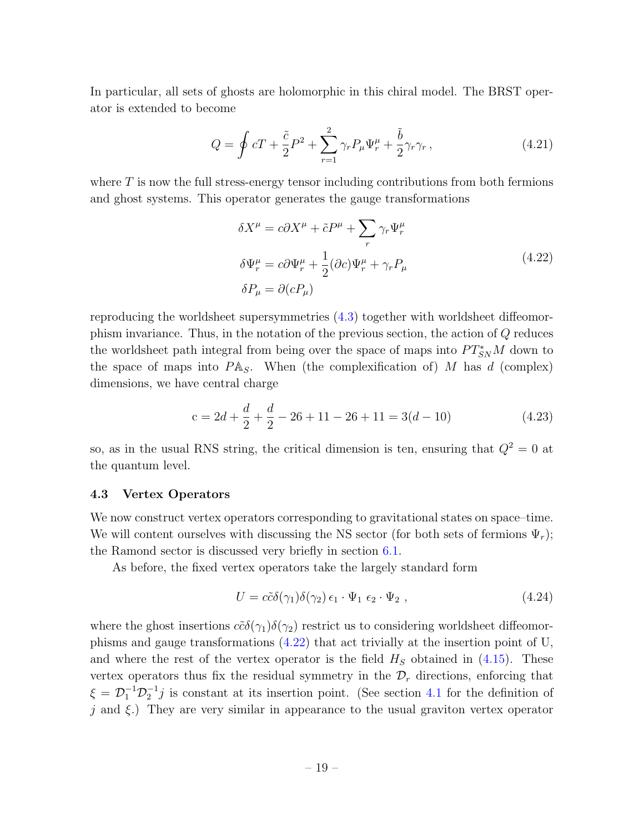In particular, all sets of ghosts are holomorphic in this chiral model. The BRST operator is extended to become

$$
Q = \oint cT + \frac{\tilde{c}}{2}P^2 + \sum_{r=1}^2 \gamma_r P_\mu \Psi_r^\mu + \frac{\tilde{b}}{2} \gamma_r \gamma_r, \qquad (4.21)
$$

where  $T$  is now the full stress-energy tensor including contributions from both fermions and ghost systems. This operator generates the gauge transformations

<span id="page-18-0"></span>
$$
\delta X^{\mu} = c \partial X^{\mu} + \tilde{c} P^{\mu} + \sum_{r} \gamma_{r} \Psi_{r}^{\mu}
$$
  
\n
$$
\delta \Psi_{r}^{\mu} = c \partial \Psi_{r}^{\mu} + \frac{1}{2} (\partial c) \Psi_{r}^{\mu} + \gamma_{r} P_{\mu}
$$
  
\n
$$
\delta P_{\mu} = \partial (c P_{\mu})
$$
\n(4.22)

reproducing the worldsheet supersymmetries [\(4.3\)](#page-14-3) together with worldsheet diffeomorphism invariance. Thus, in the notation of the previous section, the action of Q reduces the worldsheet path integral from being over the space of maps into  $PT_{SN}^*M$  down to the space of maps into  $P\mathbb{A}_S$ . When (the complexification of) M has d (complex) dimensions, we have central charge

$$
c = 2d + \frac{d}{2} + \frac{d}{2} - 26 + 11 - 26 + 11 = 3(d - 10)
$$
\n(4.23)

so, as in the usual RNS string, the critical dimension is ten, ensuring that  $Q^2 = 0$  at the quantum level.

#### 4.3 Vertex Operators

We now construct vertex operators corresponding to gravitational states on space–time. We will content ourselves with discussing the NS sector (for both sets of fermions  $\Psi_r$ ); the Ramond sector is discussed very briefly in section [6.1.](#page-26-1)

As before, the fixed vertex operators take the largely standard form

$$
U = c\tilde{c}\delta(\gamma_1)\delta(\gamma_2)\epsilon_1 \cdot \Psi_1 \epsilon_2 \cdot \Psi_2 , \qquad (4.24)
$$

where the ghost insertions  $c\tilde{c}\delta(\gamma_1)\delta(\gamma_2)$  restrict us to considering worldsheet diffeomorphisms and gauge transformations [\(4.22\)](#page-18-0) that act trivially at the insertion point of U, and where the rest of the vertex operator is the field  $H<sub>S</sub>$  obtained in [\(4.15\)](#page-17-0). These vertex operators thus fix the residual symmetry in the  $\mathcal{D}_r$  directions, enforcing that  $\xi = \mathcal{D}_1^{-1} \mathcal{D}_2^{-1} j$  is constant at its insertion point. (See section [4.1](#page-14-0) for the definition of j and  $\xi$ .) They are very similar in appearance to the usual graviton vertex operator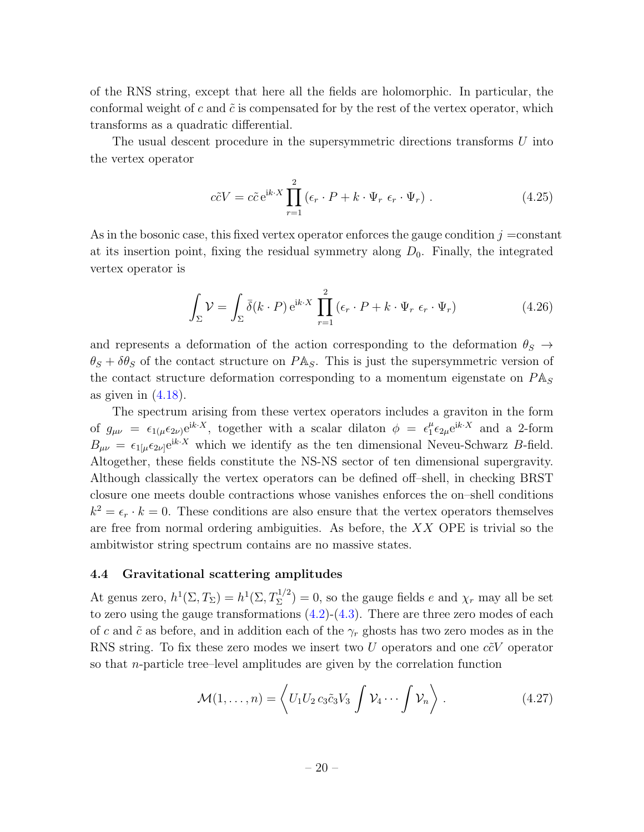of the RNS string, except that here all the fields are holomorphic. In particular, the conformal weight of c and  $\tilde{c}$  is compensated for by the rest of the vertex operator, which transforms as a quadratic differential.

The usual descent procedure in the supersymmetric directions transforms U into the vertex operator

$$
c\tilde{c}V = c\tilde{c} e^{ik \cdot X} \prod_{r=1}^{2} (\epsilon_r \cdot P + k \cdot \Psi_r \epsilon_r \cdot \Psi_r).
$$
 (4.25)

As in the bosonic case, this fixed vertex operator enforces the gauge condition  $j = constant$ at its insertion point, fixing the residual symmetry along  $D_0$ . Finally, the integrated vertex operator is

$$
\int_{\Sigma} \mathcal{V} = \int_{\Sigma} \bar{\delta}(k \cdot P) e^{ik \cdot X} \prod_{r=1}^{2} (\epsilon_r \cdot P + k \cdot \Psi_r \epsilon_r \cdot \Psi_r)
$$
\n(4.26)

and represents a deformation of the action corresponding to the deformation  $\theta_S \rightarrow$  $\theta_S + \delta \theta_S$  of the contact structure on PA<sub>S</sub>. This is just the supersymmetric version of the contact structure deformation corresponding to a momentum eigenstate on  $P\mathbb{A}_S$ as given in  $(4.18)$ .

The spectrum arising from these vertex operators includes a graviton in the form of  $g_{\mu\nu} = \epsilon_{1(\mu}\epsilon_{2\nu)}e^{ik\cdot X}$ , together with a scalar dilaton  $\phi = \epsilon_1^{\mu}$  $_{1}^{\mu} \epsilon_{2\mu} e^{ik \cdot X}$  and a 2-form  $B_{\mu\nu} = \epsilon_{1[\mu}\epsilon_{2\nu]}e^{ik \cdot X}$  which we identify as the ten dimensional Neveu-Schwarz B-field. Altogether, these fields constitute the NS-NS sector of ten dimensional supergravity. Although classically the vertex operators can be defined off–shell, in checking BRST closure one meets double contractions whose vanishes enforces the on–shell conditions  $k^2 = \epsilon_r \cdot k = 0$ . These conditions are also ensure that the vertex operators themselves are free from normal ordering ambiguities. As before, the  $XX$  OPE is trivial so the ambitwistor string spectrum contains are no massive states.

#### 4.4 Gravitational scattering amplitudes

At genus zero,  $h^1(\Sigma, T_{\Sigma}) = h^1(\Sigma, T_{\Sigma}^{1/2}) = 0$ , so the gauge fields e and  $\chi_r$  may all be set to zero using the gauge transformations  $(4.2)-(4.3)$  $(4.2)-(4.3)$ . There are three zero modes of each of c and  $\tilde{c}$  as before, and in addition each of the  $\gamma_r$  ghosts has two zero modes as in the RNS string. To fix these zero modes we insert two U operators and one  $c\tilde{c}V$  operator so that  $n$ -particle tree–level amplitudes are given by the correlation function

<span id="page-19-0"></span>
$$
\mathcal{M}(1,\ldots,n) = \left\langle U_1 U_2 c_3 \tilde{c}_3 V_3 \int \mathcal{V}_4 \cdots \int \mathcal{V}_n \right\rangle. \tag{4.27}
$$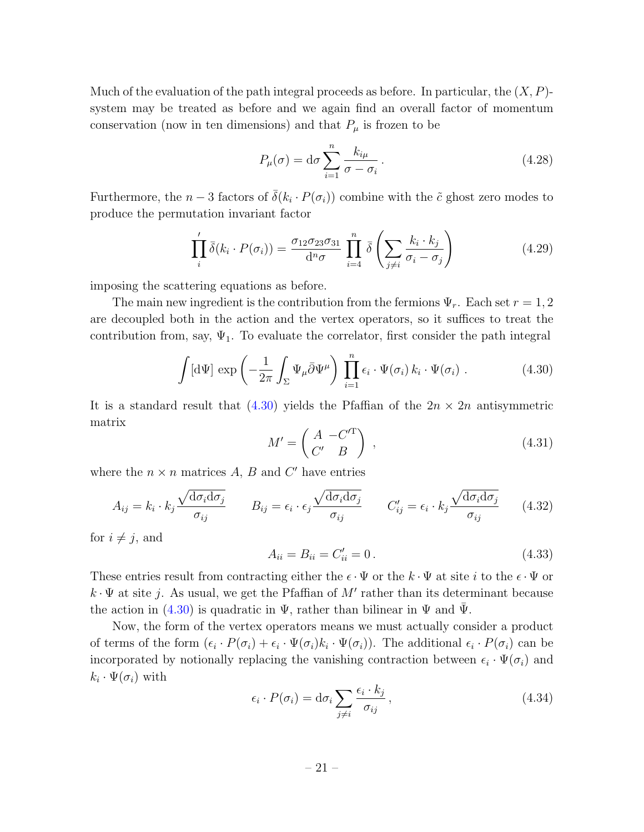Much of the evaluation of the path integral proceeds as before. In particular, the  $(X, P)$ system may be treated as before and we again find an overall factor of momentum conservation (now in ten dimensions) and that  $P_\mu$  is frozen to be

$$
P_{\mu}(\sigma) = d\sigma \sum_{i=1}^{n} \frac{k_{i\mu}}{\sigma - \sigma_i}.
$$
\n(4.28)

Furthermore, the  $n-3$  factors of  $\bar{\delta}(k_i \cdot P(\sigma_i))$  combine with the  $\tilde{c}$  ghost zero modes to produce the permutation invariant factor

$$
\prod_{i}^{\prime} \bar{\delta}(k_i \cdot P(\sigma_i)) = \frac{\sigma_{12} \sigma_{23} \sigma_{31}}{\mathrm{d}^n \sigma} \prod_{i=4}^n \bar{\delta} \left( \sum_{j \neq i} \frac{k_i \cdot k_j}{\sigma_i - \sigma_j} \right) \tag{4.29}
$$

imposing the scattering equations as before.

The main new ingredient is the contribution from the fermions  $\Psi_r$ . Each set  $r = 1, 2$ are decoupled both in the action and the vertex operators, so it suffices to treat the contribution from, say,  $\Psi_1$ . To evaluate the correlator, first consider the path integral

<span id="page-20-0"></span>
$$
\int [\mathrm{d}\Psi] \, \exp\left(-\frac{1}{2\pi} \int_{\Sigma} \Psi_{\mu} \bar{\partial} \Psi^{\mu}\right) \, \prod_{i=1}^{n} \epsilon_{i} \cdot \Psi(\sigma_{i}) \, k_{i} \cdot \Psi(\sigma_{i}) \, . \tag{4.30}
$$

It is a standard result that  $(4.30)$  yields the Pfaffian of the  $2n \times 2n$  antisymmetric matrix

$$
M' = \begin{pmatrix} A & -C'^{\mathrm{T}} \\ C' & B \end{pmatrix} , \qquad (4.31)
$$

where the  $n \times n$  matrices  $A, B$  and  $C'$  have entries

$$
A_{ij} = k_i \cdot k_j \frac{\sqrt{d\sigma_i d\sigma_j}}{\sigma_{ij}} \qquad B_{ij} = \epsilon_i \cdot \epsilon_j \frac{\sqrt{d\sigma_i d\sigma_j}}{\sigma_{ij}} \qquad C'_{ij} = \epsilon_i \cdot k_j \frac{\sqrt{d\sigma_i d\sigma_j}}{\sigma_{ij}} \qquad (4.32)
$$

for  $i \neq j$ , and

$$
A_{ii} = B_{ii} = C'_{ii} = 0.
$$
\n(4.33)

These entries result from contracting either the  $\epsilon \cdot \Psi$  or the  $k \cdot \Psi$  at site i to the  $\epsilon \cdot \Psi$  or  $k \cdot \Psi$  at site j. As usual, we get the Pfaffian of M' rather than its determinant because the action in  $(4.30)$  is quadratic in  $\Psi$ , rather than bilinear in  $\Psi$  and  $\Psi$ .

Now, the form of the vertex operators means we must actually consider a product of terms of the form  $(\epsilon_i \cdot P(\sigma_i) + \epsilon_i \cdot \Psi(\sigma_i)k_i \cdot \Psi(\sigma_i))$ . The additional  $\epsilon_i \cdot P(\sigma_i)$  can be incorporated by notionally replacing the vanishing contraction between  $\epsilon_i \cdot \Psi(\sigma_i)$  and  $k_i \cdot \Psi(\sigma_i)$  with

$$
\epsilon_i \cdot P(\sigma_i) = d\sigma_i \sum_{j \neq i} \frac{\epsilon_i \cdot k_j}{\sigma_{ij}}, \qquad (4.34)
$$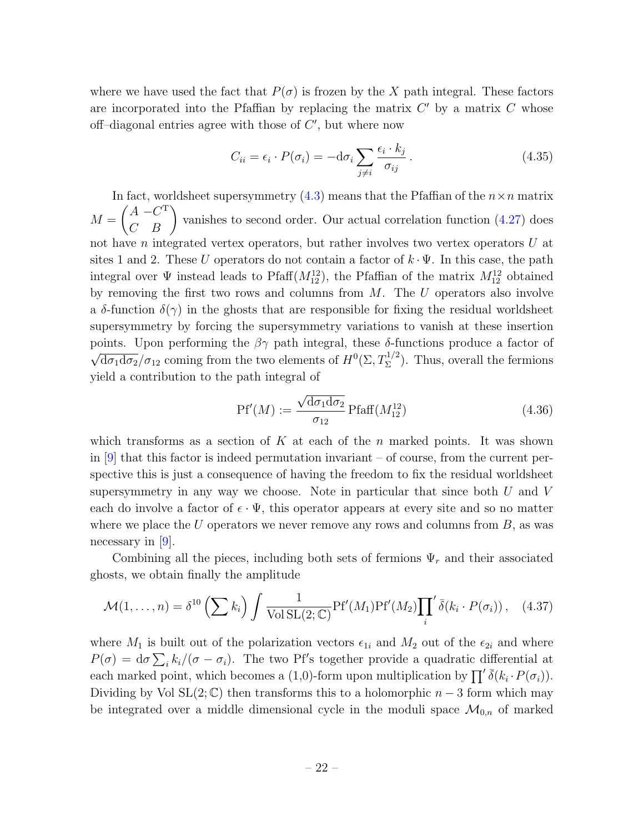where we have used the fact that  $P(\sigma)$  is frozen by the X path integral. These factors are incorporated into the Pfaffian by replacing the matrix  $C'$  by a matrix  $C$  whose off-diagonal entries agree with those of  $C'$ , but where now

$$
C_{ii} = \epsilon_i \cdot P(\sigma_i) = -d\sigma_i \sum_{j \neq i} \frac{\epsilon_i \cdot k_j}{\sigma_{ij}}.
$$
\n(4.35)

In fact, worldsheet supersymmetry [\(4.3\)](#page-14-3) means that the Pfaffian of the  $n \times n$  matrix  $M =$  $\begin{pmatrix} A & -C^{\mathrm{T}} \\ C & B \end{pmatrix}$ vanishes to second order. Our actual correlation function [\(4.27\)](#page-19-0) does not have n integrated vertex operators, but rather involves two vertex operators U at sites 1 and 2. These U operators do not contain a factor of  $k \cdot \Psi$ . In this case, the path integral over  $\Psi$  instead leads to Pfaff $(M_{12}^{12})$ , the Pfaffian of the matrix  $M_{12}^{12}$  obtained by removing the first two rows and columns from  $M$ . The  $U$  operators also involve a  $\delta$ -function  $\delta(\gamma)$  in the ghosts that are responsible for fixing the residual worldsheet supersymmetry by forcing the supersymmetry variations to vanish at these insertion points. Upon performing the  $\beta\gamma$  path integral, these δ-functions produce a factor of  $\overline{h'}$  $\overline{d\sigma_1 d\sigma_2}/\sigma_{12}$  coming from the two elements of  $H^0(\Sigma, T_\Sigma^{1/2})$ . Thus, overall the fermions yield a contribution to the path integral of

$$
\text{Pf}'(M) := \frac{\sqrt{\text{d}\sigma_1 \text{d}\sigma_2}}{\sigma_{12}} \text{Pfaff}(M_{12}^{12}) \tag{4.36}
$$

which transforms as a section of K at each of the n marked points. It was shown in  $[9]$  that this factor is indeed permutation invariant – of course, from the current perspective this is just a consequence of having the freedom to fix the residual worldsheet supersymmetry in any way we choose. Note in particular that since both  $U$  and  $V$ each do involve a factor of  $\epsilon \cdot \Psi$ , this operator appears at every site and so no matter where we place the  $U$  operators we never remove any rows and columns from  $B$ , as was necessary in  $[9]$ .

Combining all the pieces, including both sets of fermions  $\Psi_r$  and their associated ghosts, we obtain finally the amplitude

$$
\mathcal{M}(1,\ldots,n) = \delta^{10}\left(\sum k_i\right) \int \frac{1}{\text{Vol SL}(2;\mathbb{C})} \text{Pf}'(M_1) \text{Pf}'(M_2) \prod_i \delta(k_i \cdot P(\sigma_i)), \quad (4.37)
$$

where  $M_1$  is built out of the polarization vectors  $\epsilon_{1i}$  and  $M_2$  out of the  $\epsilon_{2i}$  and where  $P(\sigma) = d\sigma \sum_i k_i/(\sigma - \sigma_i)$ . The two Pf's together provide a quadratic differential at each marked point, which becomes a (1,0)-form upon multiplication by  $\prod' \overline{\delta}(k_i \cdot P(\sigma_i))$ . Dividing by Vol SL(2;  $\mathbb{C}$ ) then transforms this to a holomorphic  $n-3$  form which may be integrated over a middle dimensional cycle in the moduli space  $\mathcal{M}_{0,n}$  of marked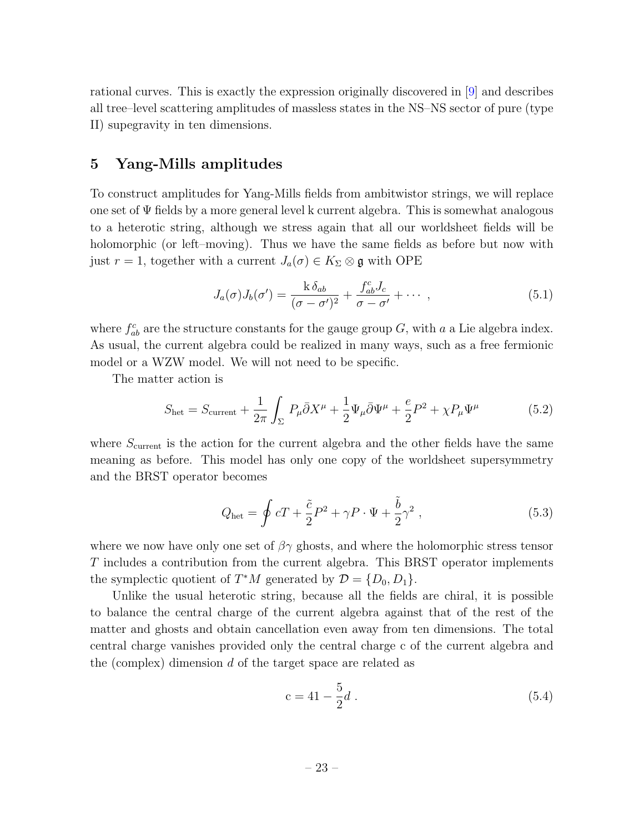rational curves. This is exactly the expression originally discovered in [\[9\]](#page-30-8) and describes all tree–level scattering amplitudes of massless states in the NS–NS sector of pure (type II) supegravity in ten dimensions.

## <span id="page-22-0"></span>5 Yang-Mills amplitudes

To construct amplitudes for Yang-Mills fields from ambitwistor strings, we will replace one set of  $\Psi$  fields by a more general level k current algebra. This is somewhat analogous to a heterotic string, although we stress again that all our worldsheet fields will be holomorphic (or left–moving). Thus we have the same fields as before but now with just  $r = 1$ , together with a current  $J_a(\sigma) \in K_\Sigma \otimes \mathfrak{g}$  with OPE

<span id="page-22-1"></span>
$$
J_a(\sigma)J_b(\sigma') = \frac{k \,\delta_{ab}}{(\sigma - \sigma')^2} + \frac{f^c_{ab} J_c}{\sigma - \sigma'} + \cdots , \qquad (5.1)
$$

where  $f_{ab}^c$  are the structure constants for the gauge group G, with a a Lie algebra index. As usual, the current algebra could be realized in many ways, such as a free fermionic model or a WZW model. We will not need to be specific.

The matter action is

$$
S_{\text{het}} = S_{\text{current}} + \frac{1}{2\pi} \int_{\Sigma} P_{\mu} \bar{\partial} X^{\mu} + \frac{1}{2} \Psi_{\mu} \bar{\partial} \Psi^{\mu} + \frac{e}{2} P^2 + \chi P_{\mu} \Psi^{\mu}
$$
(5.2)

where  $S_{\text{current}}$  is the action for the current algebra and the other fields have the same meaning as before. This model has only one copy of the worldsheet supersymmetry and the BRST operator becomes

$$
Q_{\text{het}} = \oint cT + \frac{\tilde{c}}{2}P^2 + \gamma P \cdot \Psi + \frac{\tilde{b}}{2}\gamma^2 , \qquad (5.3)
$$

where we now have only one set of  $\beta\gamma$  ghosts, and where the holomorphic stress tensor T includes a contribution from the current algebra. This BRST operator implements the symplectic quotient of  $T^*M$  generated by  $\mathcal{D} = \{D_0, D_1\}.$ 

Unlike the usual heterotic string, because all the fields are chiral, it is possible to balance the central charge of the current algebra against that of the rest of the matter and ghosts and obtain cancellation even away from ten dimensions. The total central charge vanishes provided only the central charge c of the current algebra and the (complex) dimension d of the target space are related as

$$
c = 41 - \frac{5}{2}d \tag{5.4}
$$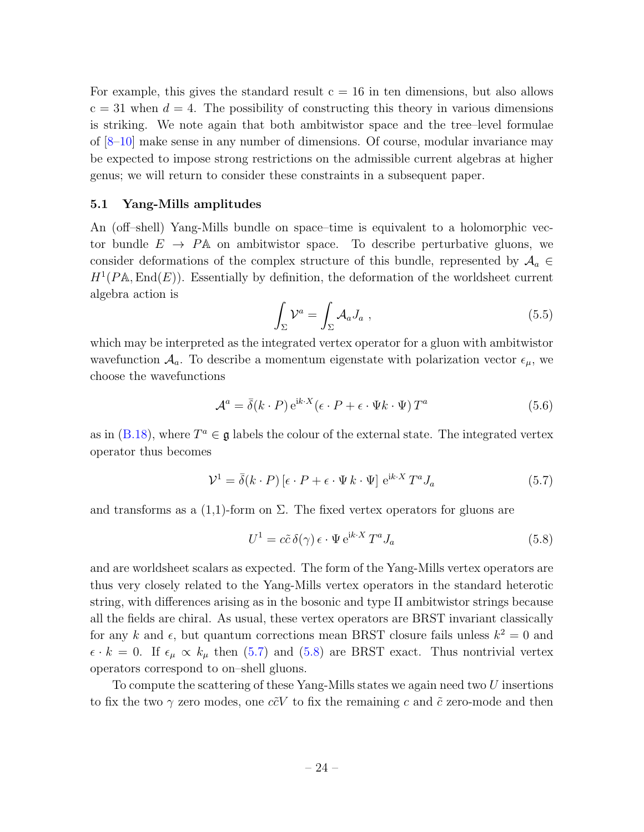For example, this gives the standard result  $c = 16$  in ten dimensions, but also allows  $c = 31$  when  $d = 4$ . The possibility of constructing this theory in various dimensions is striking. We note again that both ambitwistor space and the tree–level formulae of [\[8–](#page-30-9)[10\]](#page-30-6) make sense in any number of dimensions. Of course, modular invariance may be expected to impose strong restrictions on the admissible current algebras at higher genus; we will return to consider these constraints in a subsequent paper.

#### 5.1 Yang-Mills amplitudes

An (off–shell) Yang-Mills bundle on space–time is equivalent to a holomorphic vector bundle  $E \rightarrow P\mathbb{A}$  on ambitwistor space. To describe perturbative gluons, we consider deformations of the complex structure of this bundle, represented by  $A_a \in$  $H^1(PA, \text{End}(E))$ . Essentially by definition, the deformation of the worldsheet current algebra action is

$$
\int_{\Sigma} \mathcal{V}^a = \int_{\Sigma} \mathcal{A}_a J_a , \qquad (5.5)
$$

which may be interpreted as the integrated vertex operator for a gluon with ambitwistor wavefunction  $A_a$ . To describe a momentum eigenstate with polarization vector  $\epsilon_{\mu}$ , we choose the wavefunctions

$$
\mathcal{A}^{a} = \bar{\delta}(k \cdot P) e^{ik \cdot X} (\epsilon \cdot P + \epsilon \cdot \Psi k \cdot \Psi) T^{a}
$$
 (5.6)

as in [\(B.18\)](#page-37-0), where  $T^a \in \mathfrak{g}$  labels the colour of the external state. The integrated vertex operator thus becomes

<span id="page-23-0"></span>
$$
\mathcal{V}^1 = \bar{\delta}(k \cdot P) \left[ \epsilon \cdot P + \epsilon \cdot \Psi \, k \cdot \Psi \right] e^{ik \cdot X} T^a J_a \tag{5.7}
$$

and transforms as a  $(1,1)$ -form on  $\Sigma$ . The fixed vertex operators for gluons are

<span id="page-23-1"></span>
$$
U^{1} = c\tilde{c}\,\delta(\gamma)\,\epsilon \cdot \Psi \,\mathrm{e}^{\mathrm{i}k \cdot X} \,T^{a} J_{a} \tag{5.8}
$$

and are worldsheet scalars as expected. The form of the Yang-Mills vertex operators are thus very closely related to the Yang-Mills vertex operators in the standard heterotic string, with differences arising as in the bosonic and type II ambitwistor strings because all the fields are chiral. As usual, these vertex operators are BRST invariant classically for any k and  $\epsilon$ , but quantum corrections mean BRST closure fails unless  $k^2 = 0$  and  $\epsilon \cdot k = 0$ . If  $\epsilon_{\mu} \propto k_{\mu}$  then [\(5.7\)](#page-23-0) and [\(5.8\)](#page-23-1) are BRST exact. Thus nontrivial vertex operators correspond to on–shell gluons.

To compute the scattering of these Yang-Mills states we again need two U insertions to fix the two  $\gamma$  zero modes, one  $c\tilde{c}V$  to fix the remaining c and  $\tilde{c}$  zero-mode and then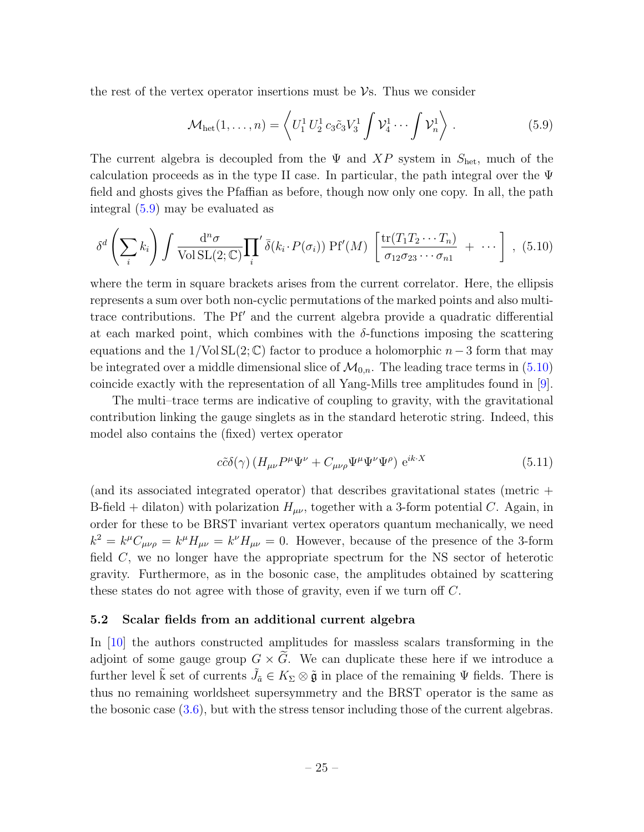the rest of the vertex operator insertions must be  $\mathcal{V}$ s. Thus we consider

<span id="page-24-0"></span>
$$
\mathcal{M}_{\text{het}}(1,\ldots,n) = \left\langle U_1^1 U_2^1 c_3 \tilde{c}_3 V_3^1 \int \mathcal{V}_4^1 \cdots \int \mathcal{V}_n^1 \right\rangle. \tag{5.9}
$$

The current algebra is decoupled from the  $\Psi$  and  $XP$  system in  $S_{\text{het}}$ , much of the calculation proceeds as in the type II case. In particular, the path integral over the  $\Psi$ field and ghosts gives the Pfaffian as before, though now only one copy. In all, the path integral [\(5.9\)](#page-24-0) may be evaluated as

<span id="page-24-1"></span>
$$
\delta^d \left( \sum_i k_i \right) \int \frac{\mathrm{d}^n \sigma}{\text{Vol} \operatorname{SL}(2; \mathbb{C})} \prod_i \delta(k_i \cdot P(\sigma_i)) \operatorname{Pf}'(M) \left[ \frac{\operatorname{tr}(T_1 T_2 \cdots T_n)}{\sigma_{12} \sigma_{23} \cdots \sigma_{n1}} + \cdots \right], \tag{5.10}
$$

where the term in square brackets arises from the current correlator. Here, the ellipsis represents a sum over both non-cyclic permutations of the marked points and also multitrace contributions. The Pf' and the current algebra provide a quadratic differential at each marked point, which combines with the  $\delta$ -functions imposing the scattering equations and the  $1/\text{Vol} \, SL(2;\mathbb{C})$  factor to produce a holomorphic  $n-3$  form that may be integrated over a middle dimensional slice of  $\mathcal{M}_{0,n}$ . The leading trace terms in [\(5.10\)](#page-24-1) coincide exactly with the representation of all Yang-Mills tree amplitudes found in [\[9\]](#page-30-8).

The multi–trace terms are indicative of coupling to gravity, with the gravitational contribution linking the gauge singlets as in the standard heterotic string. Indeed, this model also contains the (fixed) vertex operator

$$
c\tilde{c}\delta(\gamma)\left(H_{\mu\nu}P^{\mu}\Psi^{\nu} + C_{\mu\nu\rho}\Psi^{\mu}\Psi^{\nu}\Psi^{\rho}\right)e^{ik\cdot X}
$$
\n(5.11)

(and its associated integrated operator) that describes gravitational states (metric + B-field + dilaton) with polarization  $H_{\mu\nu}$ , together with a 3-form potential C. Again, in order for these to be BRST invariant vertex operators quantum mechanically, we need  $k^2 = k^{\mu}C_{\mu\nu\rho} = k^{\mu}H_{\mu\nu} = k^{\nu}H_{\mu\nu} = 0$ . However, because of the presence of the 3-form field C, we no longer have the appropriate spectrum for the NS sector of heterotic gravity. Furthermore, as in the bosonic case, the amplitudes obtained by scattering these states do not agree with those of gravity, even if we turn off C.

#### 5.2 Scalar fields from an additional current algebra

In [\[10\]](#page-30-6) the authors constructed amplitudes for massless scalars transforming in the adjoint of some gauge group  $G \times \tilde{G}$ . We can duplicate these here if we introduce a further level  $\tilde{k}$  set of currents  $\tilde{J}_\tilde{a} \in K_\Sigma \otimes \tilde{\mathfrak{g}}$  in place of the remaining  $\Psi$  fields. There is thus no remaining worldsheet supersymmetry and the BRST operator is the same as the bosonic case [\(3.6\)](#page-10-1), but with the stress tensor including those of the current algebras.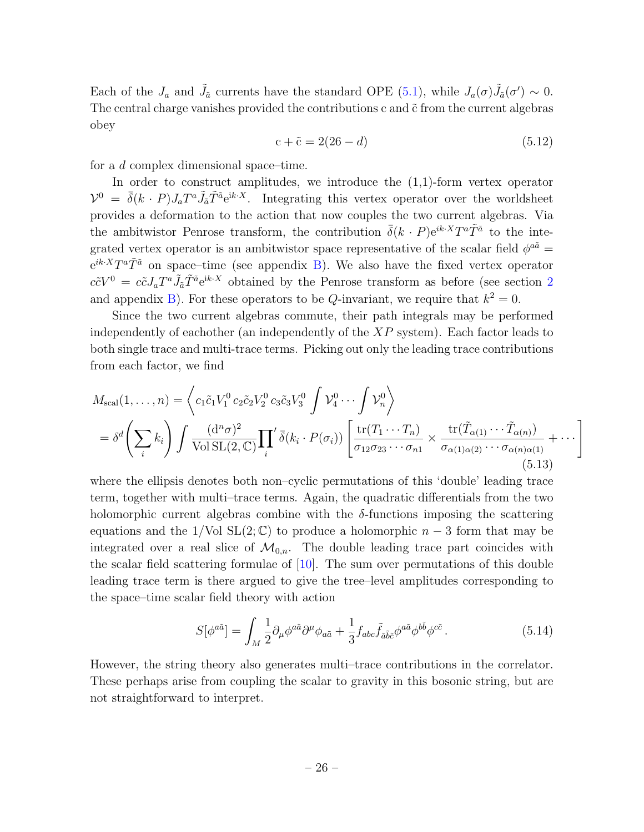Each of the  $J_a$  and  $\tilde{J}_{\tilde{a}}$  currents have the standard OPE [\(5.1\)](#page-22-1), while  $J_a(\sigma)\tilde{J}_{\tilde{a}}(\sigma') \sim 0$ . The central charge vanishes provided the contributions  $c$  and  $\tilde{c}$  from the current algebras obey

$$
c + \tilde{c} = 2(26 - d) \tag{5.12}
$$

for a d complex dimensional space–time.

In order to construct amplitudes, we introduce the  $(1,1)$ -form vertex operator  $\mathcal{V}^0 = \bar{\delta}(k \cdot P) J_a T^a \tilde{J}_{\tilde{a}} \tilde{T}^{\tilde{a}} e^{ik \cdot X}$ . Integrating this vertex operator over the worldsheet provides a deformation to the action that now couples the two current algebras. Via the ambitwistor Penrose transform, the contribution  $\bar{\delta}(k \cdot P) e^{ik \cdot X} T^a \tilde{T}^{\tilde{a}}$  to the integrated vertex operator is an ambitwistor space representative of the scalar field  $\phi^{a\tilde{a}} =$  $e^{ik \cdot X} T^a \tilde{T}^{\tilde{a}}$  on space–time (see appendix [B\)](#page-32-1). We also have the fixed vertex operator  $c\tilde{c}V^0 = c\tilde{c}J_aT^a\tilde{J}_{\tilde{a}}\tilde{T}^{\tilde{a}}e^{\mathrm{i}k\cdot X}$  obtained by the Penrose transform as before (see section [2](#page-5-2) and appendix [B\)](#page-32-1). For these operators to be Q-invariant, we require that  $k^2 = 0$ .

Since the two current algebras commute, their path integrals may be performed independently of eachother (an independently of the  $XP$  system). Each factor leads to both single trace and multi-trace terms. Picking out only the leading trace contributions from each factor, we find

$$
M_{\text{scal}}(1,\ldots,n) = \left\langle c_1 \tilde{c}_1 V_1^0 c_2 \tilde{c}_2 V_2^0 c_3 \tilde{c}_3 V_3^0 \int \mathcal{V}_4^0 \cdots \int \mathcal{V}_n^0 \right\rangle
$$
  
=  $\delta^d \left( \sum_i k_i \right) \int \frac{(\mathrm{d}^n \sigma)^2}{\text{Vol } \text{SL}(2,\mathbb{C})} \prod_i' \bar{\delta}(k_i \cdot P(\sigma_i)) \left[ \frac{\text{tr}(T_1 \cdots T_n)}{\sigma_{12} \sigma_{23} \cdots \sigma_{n1}} \times \frac{\text{tr}(\tilde{T}_{\alpha(1)} \cdots \tilde{T}_{\alpha(n)})}{\sigma_{\alpha(1)\alpha(2)} \cdots \sigma_{\alpha(n)\alpha(1)}} + \cdots \right]$ (5.13)

where the ellipsis denotes both non–cyclic permutations of this 'double' leading trace term, together with multi–trace terms. Again, the quadratic differentials from the two holomorphic current algebras combine with the  $\delta$ -functions imposing the scattering equations and the 1/Vol SL(2; C) to produce a holomorphic  $n-3$  form that may be integrated over a real slice of  $\mathcal{M}_{0,n}$ . The double leading trace part coincides with the scalar field scattering formulae of  $[10]$ . The sum over permutations of this double leading trace term is there argued to give the tree–level amplitudes corresponding to the space–time scalar field theory with action

$$
S[\phi^{a\tilde{a}}] = \int_M \frac{1}{2} \partial_\mu \phi^{a\tilde{a}} \partial^\mu \phi_{a\tilde{a}} + \frac{1}{3} f_{abc} \tilde{f}_{\tilde{a}\tilde{b}\tilde{c}} \phi^{a\tilde{a}} \phi^{b\tilde{b}} \phi^{c\tilde{c}}.
$$
 (5.14)

However, the string theory also generates multi–trace contributions in the correlator. These perhaps arise from coupling the scalar to gravity in this bosonic string, but are not straightforward to interpret.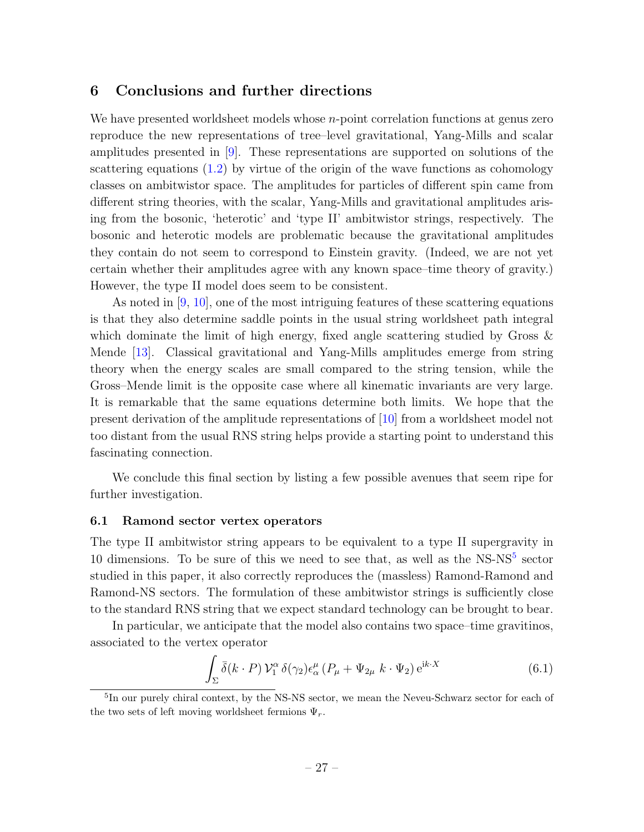## <span id="page-26-0"></span>6 Conclusions and further directions

We have presented worldsheet models whose  $n$ -point correlation functions at genus zero reproduce the new representations of tree–level gravitational, Yang-Mills and scalar amplitudes presented in [\[9\]](#page-30-8). These representations are supported on solutions of the scattering equations  $(1.2)$  by virtue of the origin of the wave functions as cohomology classes on ambitwistor space. The amplitudes for particles of different spin came from different string theories, with the scalar, Yang-Mills and gravitational amplitudes arising from the bosonic, 'heterotic' and 'type II' ambitwistor strings, respectively. The bosonic and heterotic models are problematic because the gravitational amplitudes they contain do not seem to correspond to Einstein gravity. (Indeed, we are not yet certain whether their amplitudes agree with any known space–time theory of gravity.) However, the type II model does seem to be consistent.

As noted in [\[9,](#page-30-8) [10\]](#page-30-6), one of the most intriguing features of these scattering equations is that they also determine saddle points in the usual string worldsheet path integral which dominate the limit of high energy, fixed angle scattering studied by Gross & Mende [\[13\]](#page-31-2). Classical gravitational and Yang-Mills amplitudes emerge from string theory when the energy scales are small compared to the string tension, while the Gross–Mende limit is the opposite case where all kinematic invariants are very large. It is remarkable that the same equations determine both limits. We hope that the present derivation of the amplitude representations of [\[10\]](#page-30-6) from a worldsheet model not too distant from the usual RNS string helps provide a starting point to understand this fascinating connection.

We conclude this final section by listing a few possible avenues that seem ripe for further investigation.

#### <span id="page-26-1"></span>6.1 Ramond sector vertex operators

The type II ambitwistor string appears to be equivalent to a type II supergravity in 10 dimensions. To be sure of this we need to see that, as well as the NS-NS<sup>[5](#page-26-2)</sup> sector studied in this paper, it also correctly reproduces the (massless) Ramond-Ramond and Ramond-NS sectors. The formulation of these ambitwistor strings is sufficiently close to the standard RNS string that we expect standard technology can be brought to bear.

In particular, we anticipate that the model also contains two space–time gravitinos, associated to the vertex operator

$$
\int_{\Sigma} \bar{\delta}(k \cdot P) \, \mathcal{V}_1^{\alpha} \, \delta(\gamma_2) \epsilon_{\alpha}^{\mu} \left( P_{\mu} + \Psi_{2\mu} \, k \cdot \Psi_2 \right) e^{ik \cdot X} \tag{6.1}
$$

<span id="page-26-2"></span><sup>&</sup>lt;sup>5</sup>In our purely chiral context, by the NS-NS sector, we mean the Neveu-Schwarz sector for each of the two sets of left moving worldsheet fermions  $\Psi_r$ .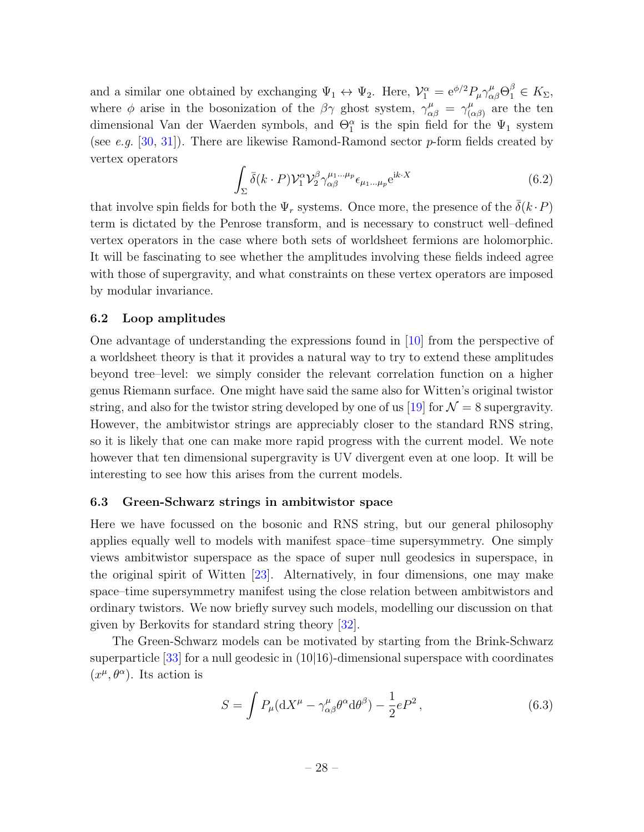and a similar one obtained by exchanging  $\Psi_1 \leftrightarrow \Psi_2$ . Here,  $V_1^{\alpha} = e^{\phi/2} P_{\mu} \gamma^{\mu}_{\alpha\beta} \Theta_1^{\beta} \in K_{\Sigma}$ , where  $\phi$  arise in the bosonization of the  $\beta\gamma$  ghost system,  $\gamma^{\mu}_{\alpha\beta} = \gamma^{\mu}_{(\alpha\beta)}$  $\mu(\alpha\beta)}$  are the ten dimensional Van der Waerden symbols, and  $\Theta_1^{\alpha}$  is the spin field for the  $\Psi_1$  system (see e.g. [\[30,](#page-32-4) [31\]](#page-32-5)). There are likewise Ramond-Ramond sector p-form fields created by vertex operators

$$
\int_{\Sigma} \bar{\delta}(k \cdot P) \mathcal{V}_1^{\alpha} \mathcal{V}_2^{\beta} \gamma_{\alpha\beta}^{\mu_1 \dots \mu_p} \epsilon_{\mu_1 \dots \mu_p} e^{ik \cdot X} \tag{6.2}
$$

that involve spin fields for both the  $\Psi_r$  systems. Once more, the presence of the  $\overline{\delta}(k \cdot P)$ term is dictated by the Penrose transform, and is necessary to construct well–defined vertex operators in the case where both sets of worldsheet fermions are holomorphic. It will be fascinating to see whether the amplitudes involving these fields indeed agree with those of supergravity, and what constraints on these vertex operators are imposed by modular invariance.

#### 6.2 Loop amplitudes

One advantage of understanding the expressions found in [\[10\]](#page-30-6) from the perspective of a worldsheet theory is that it provides a natural way to try to extend these amplitudes beyond tree–level: we simply consider the relevant correlation function on a higher genus Riemann surface. One might have said the same also for Witten's original twistor string, and also for the twistor string developed by one of us [\[19\]](#page-31-8) for  $\mathcal{N} = 8$  supergravity. However, the ambitwistor strings are appreciably closer to the standard RNS string, so it is likely that one can make more rapid progress with the current model. We note however that ten dimensional supergravity is UV divergent even at one loop. It will be interesting to see how this arises from the current models.

#### <span id="page-27-0"></span>6.3 Green-Schwarz strings in ambitwistor space

Here we have focussed on the bosonic and RNS string, but our general philosophy applies equally well to models with manifest space–time supersymmetry. One simply views ambitwistor superspace as the space of super null geodesics in superspace, in the original spirit of Witten [\[23\]](#page-31-12). Alternatively, in four dimensions, one may make space–time supersymmetry manifest using the close relation between ambitwistors and ordinary twistors. We now briefly survey such models, modelling our discussion on that given by Berkovits for standard string theory [\[32\]](#page-32-6).

The Green-Schwarz models can be motivated by starting from the Brink-Schwarz superparticle  $[33]$  for a null geodesic in  $(10|16)$ -dimensional superspace with coordinates  $(x^{\mu}, \theta^{\alpha})$ . Its action is

$$
S = \int P_{\mu} (\mathrm{d}X^{\mu} - \gamma^{\mu}_{\alpha\beta} \theta^{\alpha} \mathrm{d}\theta^{\beta}) - \frac{1}{2} eP^2 , \qquad (6.3)
$$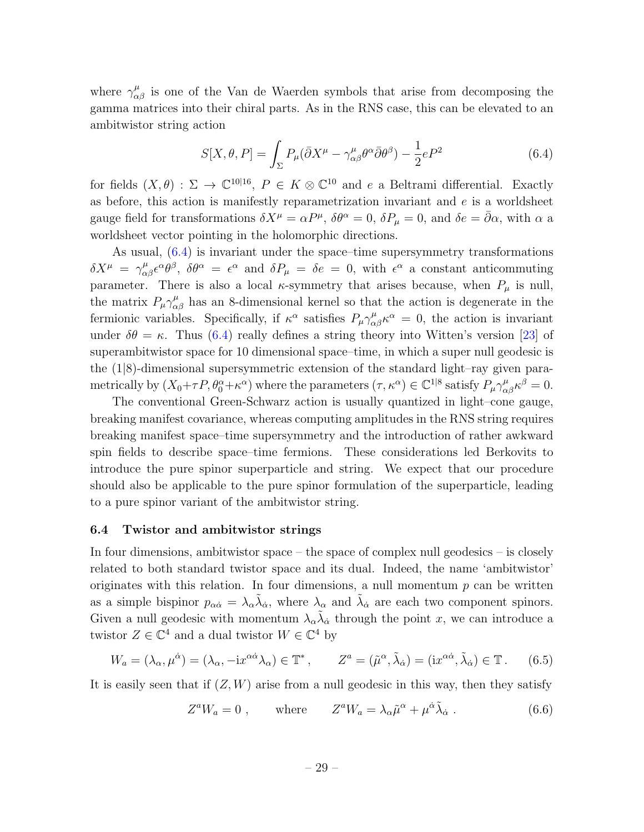where  $\gamma^{\mu}_{\alpha\beta}$  is one of the Van de Waerden symbols that arise from decomposing the gamma matrices into their chiral parts. As in the RNS case, this can be elevated to an ambitwistor string action

<span id="page-28-1"></span>
$$
S[X,\theta,P] = \int_{\Sigma} P_{\mu} (\bar{\partial} X^{\mu} - \gamma^{\mu}_{\alpha\beta} \theta^{\alpha} \bar{\partial} \theta^{\beta}) - \frac{1}{2} eP^2
$$
 (6.4)

for fields  $(X, \theta) : \Sigma \to \mathbb{C}^{10|16}$ ,  $P \in K \otimes \mathbb{C}^{10}$  and e a Beltrami differential. Exactly as before, this action is manifestly reparametrization invariant and  $e$  is a worldsheet gauge field for transformations  $\delta X^{\mu} = \alpha P^{\mu}$ ,  $\delta \theta^{\alpha} = 0$ ,  $\delta P_{\mu} = 0$ , and  $\delta e = \bar{\partial} \alpha$ , with  $\alpha$  a worldsheet vector pointing in the holomorphic directions.

As usual, [\(6.4\)](#page-28-1) is invariant under the space–time supersymmetry transformations  $\delta X^{\mu} = \gamma^{\mu}_{\alpha\beta} \epsilon^{\alpha} \theta^{\beta}, \ \delta \theta^{\alpha} = \epsilon^{\alpha}$  and  $\delta P_{\mu} = \delta e = 0$ , with  $\epsilon^{\alpha}$  a constant anticommuting parameter. There is also a local  $\kappa$ -symmetry that arises because, when  $P_{\mu}$  is null, the matrix  $P_{\mu} \gamma^{\mu}_{\alpha\beta}$  has an 8-dimensional kernel so that the action is degenerate in the fermionic variables. Specifically, if  $\kappa^{\alpha}$  satisfies  $P_{\mu} \gamma^{\mu}_{\alpha\beta} \kappa^{\alpha} = 0$ , the action is invariant under  $\delta\theta = \kappa$ . Thus [\(6.4\)](#page-28-1) really defines a string theory into Witten's version [\[23\]](#page-31-12) of superambitwistor space for 10 dimensional space–time, in which a super null geodesic is the (1|8)-dimensional supersymmetric extension of the standard light–ray given parametrically by  $(X_0+\tau P, \theta_0^{\alpha}+\kappa^{\alpha})$  where the parameters  $(\tau, \kappa^{\alpha}) \in \mathbb{C}^{1|8}$  satisfy  $P_{\mu}\gamma^{\mu}_{\alpha\beta}\kappa^{\beta} = 0$ .

The conventional Green-Schwarz action is usually quantized in light–cone gauge, breaking manifest covariance, whereas computing amplitudes in the RNS string requires breaking manifest space–time supersymmetry and the introduction of rather awkward spin fields to describe space–time fermions. These considerations led Berkovits to introduce the pure spinor superparticle and string. We expect that our procedure should also be applicable to the pure spinor formulation of the superparticle, leading to a pure spinor variant of the ambitwistor string.

#### <span id="page-28-0"></span>6.4 Twistor and ambitwistor strings

In four dimensions, ambitwistor space – the space of complex null geodesics – is closely related to both standard twistor space and its dual. Indeed, the name 'ambitwistor' originates with this relation. In four dimensions, a null momentum  $p$  can be written as a simple bispinor  $p_{\alpha\dot{\alpha}} = \lambda_{\alpha} \tilde{\lambda}_{\dot{\alpha}}$ , where  $\lambda_{\alpha}$  and  $\tilde{\lambda}_{\dot{\alpha}}$  are each two component spinors. Given a null geodesic with momentum  $\lambda_{\alpha} \tilde{\lambda}_{\dot{\alpha}}$  through the point x, we can introduce a twistor  $Z \in \mathbb{C}^4$  and a dual twistor  $W \in \mathbb{C}^4$  by

$$
W_a = (\lambda_\alpha, \mu^{\dot{\alpha}}) = (\lambda_\alpha, -ix^{\alpha\dot{\alpha}}\lambda_\alpha) \in \mathbb{T}^*, \qquad Z^a = (\tilde{\mu}^\alpha, \tilde{\lambda}_{\dot{\alpha}}) = (ix^{\alpha\dot{\alpha}}, \tilde{\lambda}_{\dot{\alpha}}) \in \mathbb{T}.
$$
 (6.5)

It is easily seen that if  $(Z, W)$  arise from a null geodesic in this way, then they satisfy

$$
Z^{a}W_{a} = 0 , \qquad \text{where} \qquad Z^{a}W_{a} = \lambda_{\alpha}\tilde{\mu}^{\alpha} + \mu^{\dot{\alpha}}\tilde{\lambda}_{\dot{\alpha}} . \tag{6.6}
$$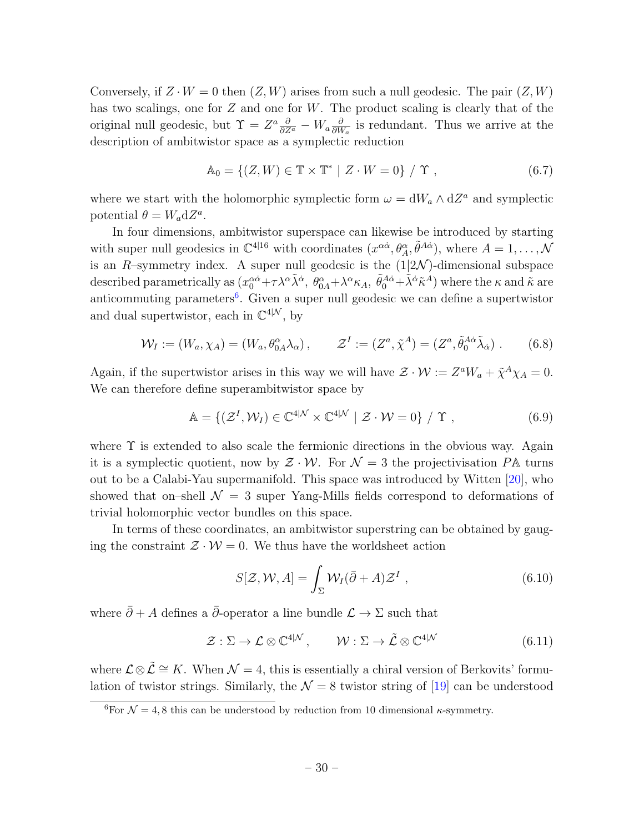Conversely, if  $Z \cdot W = 0$  then  $(Z, W)$  arises from such a null geodesic. The pair  $(Z, W)$ has two scalings, one for  $Z$  and one for  $W$ . The product scaling is clearly that of the original null geodesic, but  $\Upsilon = Z^a \frac{\partial}{\partial Z^a} - W_a \frac{\partial}{\partial W}$  $\frac{\partial}{\partial W_a}$  is redundant. Thus we arrive at the description of ambitwistor space as a symplectic reduction

$$
\mathbb{A}_0 = \{ (Z, W) \in \mathbb{T} \times \mathbb{T}^* \mid Z \cdot W = 0 \} / \Upsilon , \qquad (6.7)
$$

where we start with the holomorphic symplectic form  $\omega = dW_a \wedge dZ^a$  and symplectic potential  $\theta = W_a dZ^a$ .

In four dimensions, ambitwistor superspace can likewise be introduced by starting with super null geodesics in  $\mathbb{C}^{4|16}$  with coordinates  $(x^{\alpha\dot{\alpha}}, \theta^{\alpha}_A, \tilde{\theta}^{A\dot{\alpha}}),$  where  $A = 1, \ldots, \mathcal{N}$ is an R–symmetry index. A super null geodesic is the  $(1|2\mathcal{N})$ -dimensional subspace described parametrically as  $(x_0^{\alpha\dot{\alpha}} + \tau \lambda^{\alpha} \tilde{\lambda}^{\dot{\alpha}}, \theta_{0A}^{\alpha} + \lambda^{\alpha} \kappa_A, \tilde{\theta}_0^{\dot{A}\dot{\alpha}} + \tilde{\lambda}^{\dot{\alpha}} \tilde{\kappa}^A)$  where the  $\kappa$  and  $\tilde{\kappa}$  are anticommuting parameters<sup>[6](#page-29-0)</sup>. Given a super null geodesic we can define a supertwistor and dual supertwistor, each in  $\mathbb{C}^{4|\mathcal{N}}$ , by

$$
\mathcal{W}_I := (W_a, \chi_A) = (W_a, \theta^{\alpha}_{0A} \lambda_{\alpha}), \qquad \mathcal{Z}^I := (Z^a, \tilde{\chi}^A) = (Z^a, \tilde{\theta}^{A\dot{\alpha}}_0 \tilde{\lambda}_{\dot{\alpha}}).
$$
 (6.8)

Again, if the supertwistor arises in this way we will have  $\mathcal{Z} \cdot \mathcal{W} := Z^a W_a + \tilde{\chi}^A \chi_A = 0$ . We can therefore define superambitwistor space by

$$
\mathbb{A} = \{ (\mathcal{Z}^I, \mathcal{W}_I) \in \mathbb{C}^{4|\mathcal{N}} \times \mathbb{C}^{4|\mathcal{N}} \mid \mathcal{Z} \cdot \mathcal{W} = 0 \} / \Upsilon , \qquad (6.9)
$$

where  $\Upsilon$  is extended to also scale the fermionic directions in the obvious way. Again it is a symplectic quotient, now by  $\mathcal{Z} \cdot \mathcal{W}$ . For  $\mathcal{N} = 3$  the projectivisation PA turns out to be a Calabi-Yau supermanifold. This space was introduced by Witten [\[20\]](#page-31-9), who showed that on–shell  $\mathcal{N} = 3$  super Yang-Mills fields correspond to deformations of trivial holomorphic vector bundles on this space.

In terms of these coordinates, an ambitwistor superstring can be obtained by gauging the constraint  $\mathcal{Z} \cdot \mathcal{W} = 0$ . We thus have the worldsheet action

$$
S[\mathcal{Z}, \mathcal{W}, A] = \int_{\Sigma} \mathcal{W}_I(\bar{\partial} + A) \mathcal{Z}^I , \qquad (6.10)
$$

where  $\bar{\partial} + A$  defines a  $\bar{\partial}$ -operator a line bundle  $\mathcal{L} \to \Sigma$  such that

$$
\mathcal{Z}: \Sigma \to \mathcal{L} \otimes \mathbb{C}^{4|\mathcal{N}}, \qquad \mathcal{W}: \Sigma \to \tilde{\mathcal{L}} \otimes \mathbb{C}^{4|\mathcal{N}} \tag{6.11}
$$

where  $\mathcal{L} \otimes \tilde{\mathcal{L}} \cong K$ . When  $\mathcal{N} = 4$ , this is essentially a chiral version of Berkovits' formulation of twistor strings. Similarly, the  $\mathcal{N} = 8$  twistor string of [\[19\]](#page-31-8) can be understood

<span id="page-29-0"></span> $\sqrt[6]{6}$  For  $\mathcal{N} = 4, 8$  this can be understood by reduction from 10 dimensional  $\kappa$ -symmetry.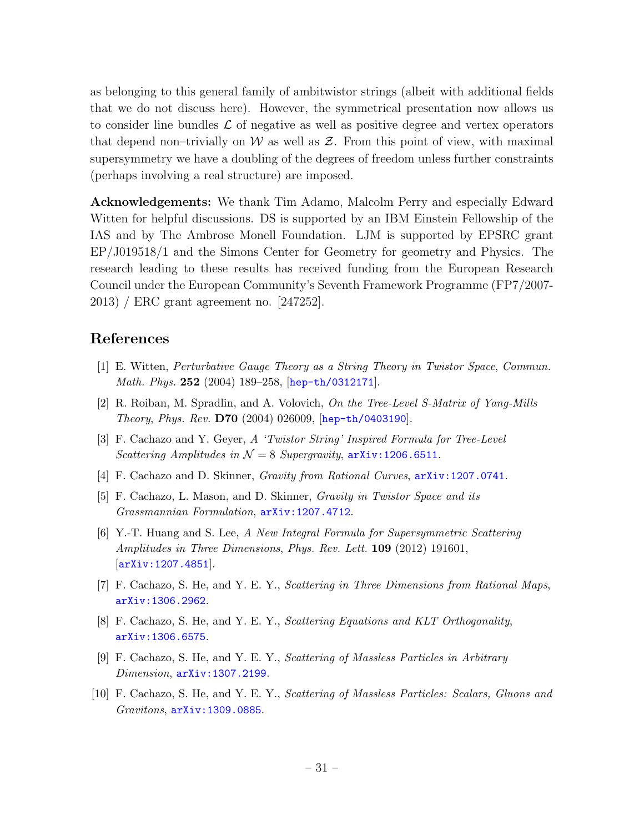as belonging to this general family of ambitwistor strings (albeit with additional fields that we do not discuss here). However, the symmetrical presentation now allows us to consider line bundles  $\mathcal L$  of negative as well as positive degree and vertex operators that depend non–trivially on W as well as  $\mathcal Z$ . From this point of view, with maximal supersymmetry we have a doubling of the degrees of freedom unless further constraints (perhaps involving a real structure) are imposed.

Acknowledgements: We thank Tim Adamo, Malcolm Perry and especially Edward Witten for helpful discussions. DS is supported by an IBM Einstein Fellowship of the IAS and by The Ambrose Monell Foundation. LJM is supported by EPSRC grant EP/J019518/1 and the Simons Center for Geometry for geometry and Physics. The research leading to these results has received funding from the European Research Council under the European Community's Seventh Framework Programme (FP7/2007- 2013) / ERC grant agreement no. [247252].

## References

- <span id="page-30-0"></span>[1] E. Witten, Perturbative Gauge Theory as a String Theory in Twistor Space, Commun. *Math. Phys.* 252 (2004) 189-258,  $[hep-th/0312171]$  $[hep-th/0312171]$  $[hep-th/0312171]$ .
- <span id="page-30-1"></span>[2] R. Roiban, M. Spradlin, and A. Volovich, On the Tree-Level S-Matrix of Yang-Mills Theory, Phys. Rev. D70 (2004) 026009, [[hep-th/0403190](http://xxx.lanl.gov/abs/hep-th/0403190)].
- <span id="page-30-2"></span>[3] F. Cachazo and Y. Geyer, A 'Twistor String' Inspired Formula for Tree-Level Scattering Amplitudes in  $\mathcal{N} = 8$  Supergravity,  $\frac{1}{206.6511}$ .
- <span id="page-30-7"></span>[4] F. Cachazo and D. Skinner, Gravity from Rational Curves, [arXiv:1207.0741](http://xxx.lanl.gov/abs/1207.0741).
- <span id="page-30-3"></span>[5] F. Cachazo, L. Mason, and D. Skinner, Gravity in Twistor Space and its Grassmannian Formulation, [arXiv:1207.4712](http://xxx.lanl.gov/abs/1207.4712).
- <span id="page-30-4"></span>[6] Y.-T. Huang and S. Lee, A New Integral Formula for Supersymmetric Scattering Amplitudes in Three Dimensions, Phys. Rev. Lett. 109 (2012) 191601, [[arXiv:1207.4851](http://xxx.lanl.gov/abs/1207.4851)].
- <span id="page-30-5"></span>[7] F. Cachazo, S. He, and Y. E. Y., Scattering in Three Dimensions from Rational Maps, [arXiv:1306.2962](http://xxx.lanl.gov/abs/1306.2962).
- <span id="page-30-9"></span>[8] F. Cachazo, S. He, and Y. E. Y., Scattering Equations and KLT Orthogonality, [arXiv:1306.6575](http://xxx.lanl.gov/abs/1306.6575).
- <span id="page-30-8"></span>[9] F. Cachazo, S. He, and Y. E. Y., Scattering of Massless Particles in Arbitrary Dimension,  $arXiv:1307.2199$ .
- <span id="page-30-6"></span>[10] F. Cachazo, S. He, and Y. E. Y., Scattering of Massless Particles: Scalars, Gluons and Gravitons, [arXiv:1309.0885](http://xxx.lanl.gov/abs/1309.0885).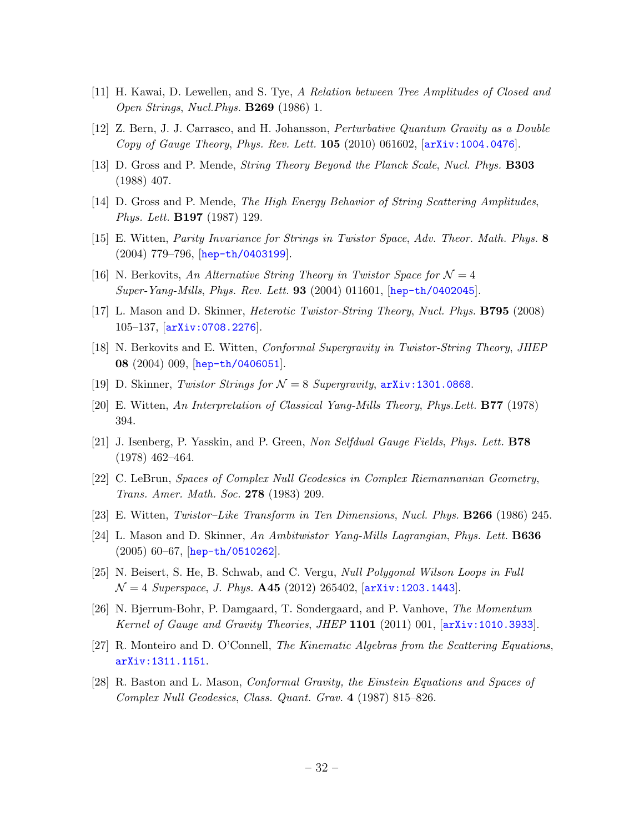- <span id="page-31-0"></span>[11] H. Kawai, D. Lewellen, and S. Tye, A Relation between Tree Amplitudes of Closed and Open Strings, Nucl.Phys. B269 (1986) 1.
- <span id="page-31-1"></span>[12] Z. Bern, J. J. Carrasco, and H. Johansson, Perturbative Quantum Gravity as a Double Copy of Gauge Theory, Phys. Rev. Lett. 105 (2010) 061602, [[arXiv:1004.0476](http://xxx.lanl.gov/abs/1004.0476)].
- <span id="page-31-2"></span>[13] D. Gross and P. Mende, String Theory Beyond the Planck Scale, Nucl. Phys. B303 (1988) 407.
- <span id="page-31-3"></span>[14] D. Gross and P. Mende, The High Energy Behavior of String Scattering Amplitudes, Phys. Lett. B197 (1987) 129.
- <span id="page-31-4"></span>[15] E. Witten, Parity Invariance for Strings in Twistor Space, Adv. Theor. Math. Phys. 8 (2004) 779–796, [[hep-th/0403199](http://xxx.lanl.gov/abs/hep-th/0403199)].
- <span id="page-31-5"></span>[16] N. Berkovits, An Alternative String Theory in Twistor Space for  $\mathcal{N}=4$ Super-Yang-Mills, Phys. Rev. Lett. **93** (2004) 011601, [[hep-th/0402045](http://xxx.lanl.gov/abs/hep-th/0402045)].
- <span id="page-31-6"></span>[17] L. Mason and D. Skinner, Heterotic Twistor-String Theory, Nucl. Phys. B795 (2008) 105–137, [[arXiv:0708.2276](http://xxx.lanl.gov/abs/0708.2276)].
- <span id="page-31-7"></span>[18] N. Berkovits and E. Witten, *Conformal Supergravity in Twistor-String Theory*, *JHEP* 08 (2004) 009, [[hep-th/0406051](http://xxx.lanl.gov/abs/hep-th/0406051)].
- <span id="page-31-8"></span>[19] D. Skinner, Twistor Strings for  $\mathcal{N} = 8$  Supergravity,  $\ar{xiv:1301.0868}$ .
- <span id="page-31-9"></span>[20] E. Witten, An Interpretation of Classical Yang-Mills Theory, Phys.Lett. B77 (1978) 394.
- <span id="page-31-10"></span>[21] J. Isenberg, P. Yasskin, and P. Green, Non Selfdual Gauge Fields, Phys. Lett. B78 (1978) 462–464.
- <span id="page-31-11"></span>[22] C. LeBrun, Spaces of Complex Null Geodesics in Complex Riemannanian Geometry, Trans. Amer. Math. Soc. 278 (1983) 209.
- <span id="page-31-12"></span>[23] E. Witten, Twistor–Like Transform in Ten Dimensions, Nucl. Phys. B266 (1986) 245.
- <span id="page-31-13"></span>[24] L. Mason and D. Skinner, An Ambitwistor Yang-Mills Lagrangian, Phys. Lett. B636 (2005) 60–67, [[hep-th/0510262](http://xxx.lanl.gov/abs/hep-th/0510262)].
- <span id="page-31-14"></span>[25] N. Beisert, S. He, B. Schwab, and C. Vergu, Null Polygonal Wilson Loops in Full  $\mathcal{N}=4$  Superspace, J. Phys. **A45** (2012) 265402, [[arXiv:1203.1443](http://xxx.lanl.gov/abs/1203.1443)].
- <span id="page-31-15"></span>[26] N. Bjerrum-Bohr, P. Damgaard, T. Sondergaard, and P. Vanhove, The Momentum Kernel of Gauge and Gravity Theories, JHEP 1101 (2011) 001, [[arXiv:1010.3933](http://xxx.lanl.gov/abs/1010.3933)].
- <span id="page-31-16"></span>[27] R. Monteiro and D. O'Connell, The Kinematic Algebras from the Scattering Equations, [arXiv:1311.1151](http://xxx.lanl.gov/abs/1311.1151).
- <span id="page-31-17"></span>[28] R. Baston and L. Mason, Conformal Gravity, the Einstein Equations and Spaces of Complex Null Geodesics, Class. Quant. Grav. 4 (1987) 815–826.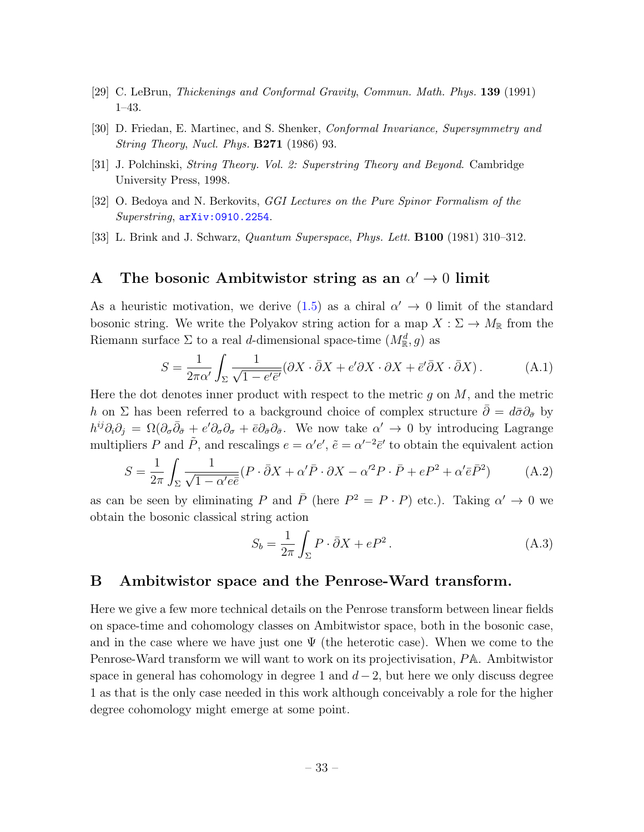- <span id="page-32-2"></span>[29] C. LeBrun, Thickenings and Conformal Gravity, Commun. Math. Phys. 139 (1991) 1–43.
- <span id="page-32-4"></span>[30] D. Friedan, E. Martinec, and S. Shenker, Conformal Invariance, Supersymmetry and String Theory, Nucl. Phys. B271 (1986) 93.
- <span id="page-32-5"></span>[31] J. Polchinski, String Theory. Vol. 2: Superstring Theory and Beyond. Cambridge University Press, 1998.
- <span id="page-32-6"></span>[32] O. Bedoya and N. Berkovits, GGI Lectures on the Pure Spinor Formalism of the Superstring, [arXiv:0910.2254](http://xxx.lanl.gov/abs/0910.2254).
- <span id="page-32-7"></span>[33] L. Brink and J. Schwarz, Quantum Superspace, Phys. Lett. B100 (1981) 310–312.

## <span id="page-32-0"></span>A The bosonic Ambitwistor string as an  $\alpha' \to 0$  limit

As a heuristic motivation, we derive  $(1.5)$  as a chiral  $\alpha' \to 0$  limit of the standard bosonic string. We write the Polyakov string action for a map  $X : \Sigma \to M_{\mathbb{R}}$  from the Riemann surface  $\Sigma$  to a real d-dimensional space-time  $(M_{\mathbb{R}}^d, g)$  as

$$
S = \frac{1}{2\pi\alpha'} \int_{\Sigma} \frac{1}{\sqrt{1 - e'\bar{e}'}} (\partial X \cdot \bar{\partial} X + e'\partial X \cdot \partial X + \bar{e}' \bar{\partial} X \cdot \bar{\partial} X). \tag{A.1}
$$

Here the dot denotes inner product with respect to the metric  $g$  on  $M$ , and the metric h on ∑ has been referred to a background choice of complex structure  $\bar{\partial} = d\bar{\sigma}\partial_{\bar{\sigma}}$  by  $h^{ij}\partial_i\partial_j = \Omega(\partial_\sigma\bar{\partial}_{\bar{\sigma}} + e'\partial_\sigma\partial_\sigma + \bar{\epsilon}\partial_{\bar{\sigma}}\partial_{\bar{\sigma}}$ . We now take  $\alpha' \to 0$  by introducing Lagrange multipliers P and  $\tilde{P}$ , and rescalings  $e = \alpha' e'$ ,  $\tilde{e} = \alpha'^{-2} \bar{e}'$  to obtain the equivalent action

$$
S = \frac{1}{2\pi} \int_{\Sigma} \frac{1}{\sqrt{1 - \alpha' e \bar{e}}} (P \cdot \bar{\partial}X + \alpha' \bar{P} \cdot \partial X - \alpha'^2 P \cdot \bar{P} + eP^2 + \alpha' \bar{e} \bar{P}^2)
$$
(A.2)

as can be seen by eliminating P and  $\bar{P}$  (here  $P^2 = P \cdot P$ ) etc.). Taking  $\alpha' \to 0$  we obtain the bosonic classical string action

<span id="page-32-3"></span>
$$
S_b = \frac{1}{2\pi} \int_{\Sigma} P \cdot \bar{\partial} X + eP^2.
$$
 (A.3)

### <span id="page-32-1"></span>B Ambitwistor space and the Penrose-Ward transform.

Here we give a few more technical details on the Penrose transform between linear fields on space-time and cohomology classes on Ambitwistor space, both in the bosonic case, and in the case where we have just one  $\Psi$  (the heterotic case). When we come to the Penrose-Ward transform we will want to work on its projectivisation, PA. Ambitwistor space in general has cohomology in degree 1 and  $d-2$ , but here we only discuss degree 1 as that is the only case needed in this work although conceivably a role for the higher degree cohomology might emerge at some point.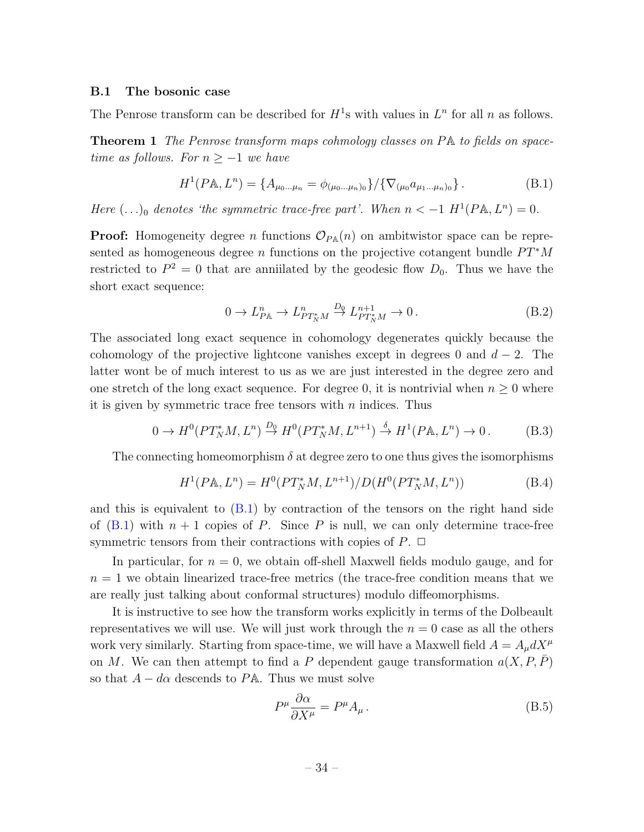#### B.1 The bosonic case

The Penrose transform can be described for  $H^1$ s with values in  $L^n$  for all n as follows.

Theorem 1 The Penrose transform maps cohmology classes on PA to fields on spacetime as follows. For  $n \geq -1$  we have

<span id="page-33-0"></span>
$$
H^{1}(P\mathbb{A}, L^{n}) = \{A_{\mu_{0}...\mu_{n}} = \phi_{(\mu_{0}...\mu_{n})_{0}}\}/\{\nabla_{(\mu_{0}}a_{\mu_{1}...\mu_{n})_{0}}\}.
$$
 (B.1)

Here  $(\ldots)_0$  denotes 'the symmetric trace-free part'. When  $n < -1$   $H^1(P{\mathbb{A}}, L^n) = 0$ .

**Proof:** Homogeneity degree *n* functions  $\mathcal{O}_{P\mathbb{A}}(n)$  on ambitwistor space can be represented as homogeneous degree n functions on the projective cotangent bundle  $PT^*M$ restricted to  $P^2 = 0$  that are anniilated by the geodesic flow  $D_0$ . Thus we have the short exact sequence:

<span id="page-33-2"></span>
$$
0 \to L_{P\mathbb{A}}^n \to L_{PT_N^*M}^n \xrightarrow{D_0} L_{PT_N^*M}^{n+1} \to 0. \tag{B.2}
$$

The associated long exact sequence in cohomology degenerates quickly because the cohomology of the projective lightcone vanishes except in degrees 0 and  $d-2$ . The latter wont be of much interest to us as we are just interested in the degree zero and one stretch of the long exact sequence. For degree 0, it is nontrivial when  $n \geq 0$  where it is given by symmetric trace free tensors with  $n$  indices. Thus

$$
0 \to H^0(PT_N^*M, L^n) \stackrel{D_0}{\to} H^0(PT_N^*M, L^{n+1}) \stackrel{\delta}{\to} H^1(P\mathbb{A}, L^n) \to 0. \tag{B.3}
$$

The connecting homeomorphism  $\delta$  at degree zero to one thus gives the isomorphisms

$$
H^{1}(P\mathbb{A}, L^{n}) = H^{0}(PT_{N}^{*}M, L^{n+1})/D(H^{0}(PT_{N}^{*}M, L^{n}))
$$
(B.4)

and this is equivalent to  $(B.1)$  by contraction of the tensors on the right hand side of  $(B.1)$  with  $n + 1$  copies of P. Since P is null, we can only determine trace-free symmetric tensors from their contractions with copies of  $P$ .  $\Box$ 

In particular, for  $n = 0$ , we obtain off-shell Maxwell fields modulo gauge, and for  $n = 1$  we obtain linearized trace-free metrics (the trace-free condition means that we are really just talking about conformal structures) modulo diffeomorphisms.

It is instructive to see how the transform works explicitly in terms of the Dolbeault representatives we will use. We will just work through the  $n = 0$  case as all the others work very similarly. Starting from space-time, we will have a Maxwell field  $A = A_{\mu}dX^{\mu}$ on M. We can then attempt to find a P dependent gauge transformation  $a(X, P, P)$ so that  $A - d\alpha$  descends to PA. Thus we must solve

<span id="page-33-1"></span>
$$
P^{\mu}\frac{\partial \alpha}{\partial X^{\mu}} = P^{\mu}A_{\mu}.
$$
\n(B.5)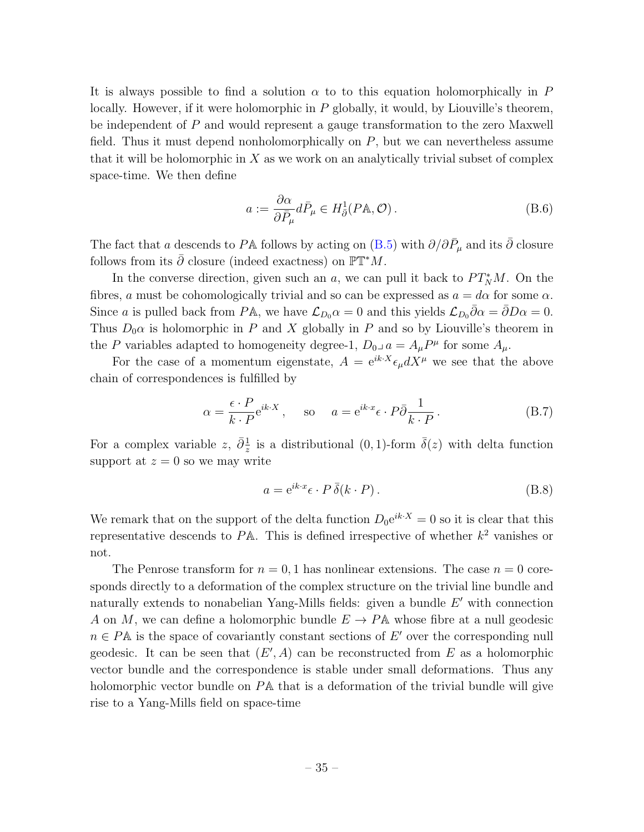It is always possible to find a solution  $\alpha$  to to this equation holomorphically in P locally. However, if it were holomorphic in P globally, it would, by Liouville's theorem, be independent of P and would represent a gauge transformation to the zero Maxwell field. Thus it must depend nonholomorphically on  $P$ , but we can nevertheless assume that it will be holomorphic in  $X$  as we work on an analytically trivial subset of complex space-time. We then define

$$
a := \frac{\partial \alpha}{\partial \bar{P}_{\mu}} d\bar{P}_{\mu} \in H_{\bar{\partial}}^{1}(P\mathbb{A}, \mathcal{O}). \tag{B.6}
$$

The fact that a descends to PA follows by acting on [\(B.5\)](#page-33-1) with  $\partial/\partial \bar{P}_{\mu}$  and its  $\bar{\partial}$  closure follows from its  $\bar{\partial}$  closure (indeed exactness) on  $\mathbb{PT}^*M$ .

In the converse direction, given such an a, we can pull it back to  $PT_N^*M$ . On the fibres, a must be cohomologically trivial and so can be expressed as  $a = d\alpha$  for some  $\alpha$ . Since a is pulled back from PA, we have  $\mathcal{L}_{D_0} \alpha = 0$  and this yields  $\mathcal{L}_{D_0} \bar{\partial} \alpha = \bar{\partial} D \alpha = 0$ . Thus  $D_0\alpha$  is holomorphic in P and X globally in P and so by Liouville's theorem in the P variables adapted to homogeneity degree-1,  $D_0 a = A_\mu P^\mu$  for some  $A_\mu$ .

For the case of a momentum eigenstate,  $A = e^{ik \cdot X} \epsilon_{\mu} dX^{\mu}$  we see that the above chain of correspondences is fulfilled by

$$
\alpha = \frac{\epsilon \cdot P}{k \cdot P} e^{ik \cdot X}, \quad \text{so} \quad a = e^{ik \cdot x} \epsilon \cdot P \bar{\partial} \frac{1}{k \cdot P}. \tag{B.7}
$$

For a complex variable  $z, \bar{\partial}^{\frac{1}{z}}$  $\frac{1}{z}$  is a distributional (0, 1)-form  $\bar{\delta}(z)$  with delta function support at  $z = 0$  so we may write

$$
a = e^{ik \cdot x} \epsilon \cdot P \bar{\delta}(k \cdot P). \tag{B.8}
$$

We remark that on the support of the delta function  $D_0e^{ik \cdot X} = 0$  so it is clear that this representative descends to  $P\mathbb{A}$ . This is defined irrespective of whether  $k^2$  vanishes or not.

The Penrose transform for  $n = 0, 1$  has nonlinear extensions. The case  $n = 0$  coresponds directly to a deformation of the complex structure on the trivial line bundle and naturally extends to nonabelian Yang-Mills fields: given a bundle  $E'$  with connection A on M, we can define a holomorphic bundle  $E \to P\mathbb{A}$  whose fibre at a null geodesic  $n \in P\mathbb{A}$  is the space of covariantly constant sections of E' over the corresponding null geodesic. It can be seen that  $(E', A)$  can be reconstructed from E as a holomorphic vector bundle and the correspondence is stable under small deformations. Thus any holomorphic vector bundle on PA that is a deformation of the trivial bundle will give rise to a Yang-Mills field on space-time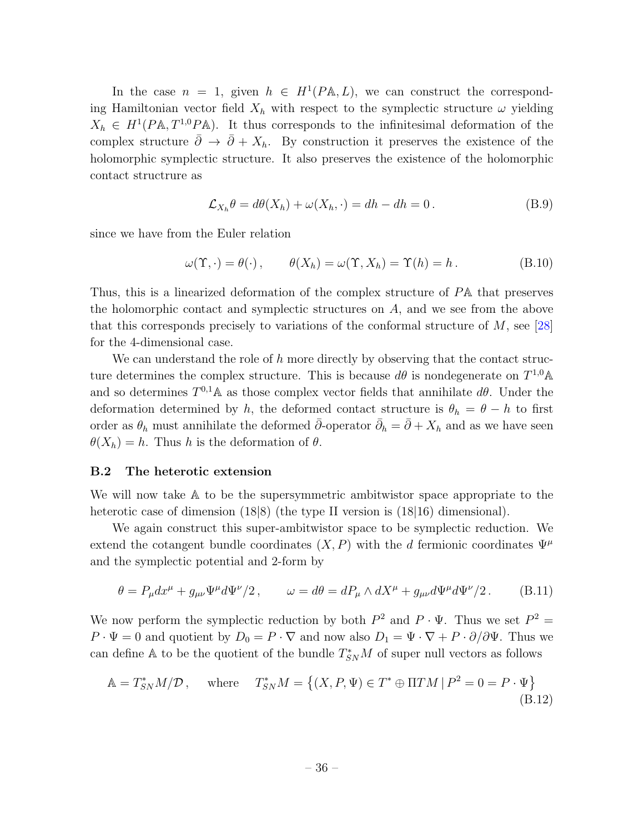In the case  $n = 1$ , given  $h \in H^1(PA, L)$ , we can construct the corresponding Hamiltonian vector field  $X_h$  with respect to the symplectic structure  $\omega$  yielding  $X_h \in H^1(PA, T^{1,0}PA)$ . It thus corresponds to the infinitesimal deformation of the complex structure  $\bar{\partial} \rightarrow \bar{\partial} + X_h$ . By construction it preserves the existence of the holomorphic symplectic structure. It also preserves the existence of the holomorphic contact structrure as

$$
\mathcal{L}_{X_h} \theta = d\theta(X_h) + \omega(X_h, \cdot) = dh - dh = 0. \tag{B.9}
$$

since we have from the Euler relation

$$
\omega(\Upsilon, \cdot) = \theta(\cdot), \qquad \theta(X_h) = \omega(\Upsilon, X_h) = \Upsilon(h) = h. \tag{B.10}
$$

Thus, this is a linearized deformation of the complex structure of PA that preserves the holomorphic contact and symplectic structures on A, and we see from the above that this corresponds precisely to variations of the conformal structure of  $M$ , see [\[28\]](#page-31-17) for the 4-dimensional case.

We can understand the role of  $h$  more directly by observing that the contact structure determines the complex structure. This is because  $d\theta$  is nondegenerate on  $T^{1,0}$  A and so determines  $T^{0,1}$  A as those complex vector fields that annihilate  $d\theta$ . Under the deformation determined by h, the deformed contact structure is  $\theta_h = \theta - h$  to first order as  $\theta_h$  must annihilate the deformed  $\bar{\partial}$ -operator  $\bar{\partial}_h = \bar{\partial} + X_h$  and as we have seen  $\theta(X_h) = h$ . Thus h is the deformation of  $\theta$ .

#### <span id="page-35-0"></span>B.2 The heterotic extension

We will now take A to be the supersymmetric ambitwistor space appropriate to the heterotic case of dimension  $(18|8)$  (the type II version is  $(18|16)$  dimensional).

We again construct this super-ambitwistor space to be symplectic reduction. We extend the cotangent bundle coordinates  $(X, P)$  with the d fermionic coordinates  $\Psi^{\mu}$ and the symplectic potential and 2-form by

$$
\theta = P_{\mu} dx^{\mu} + g_{\mu\nu} \Psi^{\mu} d\Psi^{\nu}/2, \qquad \omega = d\theta = dP_{\mu} \wedge dX^{\mu} + g_{\mu\nu} d\Psi^{\mu} d\Psi^{\nu}/2. \tag{B.11}
$$

We now perform the symplectic reduction by both  $P^2$  and  $P \cdot \Psi$ . Thus we set  $P^2 =$  $P \cdot \Psi = 0$  and quotient by  $D_0 = P \cdot \nabla$  and now also  $D_1 = \Psi \cdot \nabla + P \cdot \partial/\partial \Psi$ . Thus we can define A to be the quotient of the bundle  $T_{SN}^*M$  of super null vectors as follows

$$
\mathbb{A} = T_{SN}^* M / \mathcal{D}, \quad \text{where} \quad T_{SN}^* M = \left\{ (X, P, \Psi) \in T^* \oplus \Pi TM \, | \, P^2 = 0 = P \cdot \Psi \right\}
$$
\n(B.12)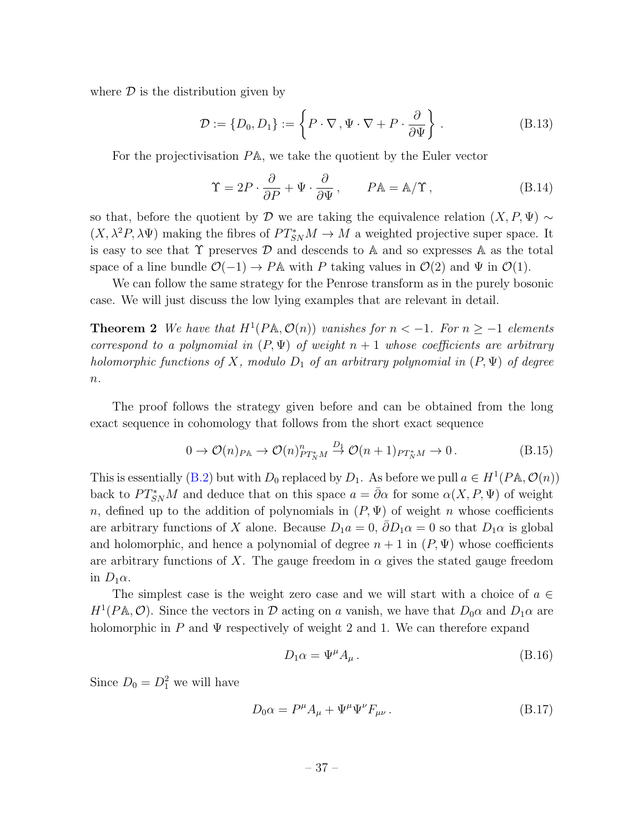where  $\mathcal D$  is the distribution given by

$$
\mathcal{D} := \{D_0, D_1\} := \left\{ P \cdot \nabla, \Psi \cdot \nabla + P \cdot \frac{\partial}{\partial \Psi} \right\}.
$$
 (B.13)

For the projectivisation PA, we take the quotient by the Euler vector

$$
\Upsilon = 2P \cdot \frac{\partial}{\partial P} + \Psi \cdot \frac{\partial}{\partial \Psi}, \qquad P \mathbb{A} = \mathbb{A}/\Upsilon, \qquad (B.14)
$$

so that, before the quotient by D we are taking the equivalence relation  $(X, P, \Psi) \sim$  $(X, \lambda^2 P, \lambda \Psi)$  making the fibres of  $PT_{SN}^* M \to M$  a weighted projective super space. It is easy to see that  $\Upsilon$  preserves  $\mathcal D$  and descends to A and so expresses A as the total space of a line bundle  $\mathcal{O}(-1) \rightarrow P\mathbb{A}$  with P taking values in  $\mathcal{O}(2)$  and  $\Psi$  in  $\mathcal{O}(1)$ .

We can follow the same strategy for the Penrose transform as in the purely bosonic case. We will just discuss the low lying examples that are relevant in detail.

**Theorem 2** We have that  $H^1(PA, \mathcal{O}(n))$  vanishes for  $n < -1$ . For  $n \ge -1$  elements correspond to a polynomial in  $(P, \Psi)$  of weight  $n + 1$  whose coefficients are arbitrary holomorphic functions of X, modulo  $D_1$  of an arbitrary polynomial in  $(P, \Psi)$  of degree  $\overline{n}$ .

The proof follows the strategy given before and can be obtained from the long exact sequence in cohomology that follows from the short exact sequence

$$
0 \to \mathcal{O}(n)_{P\mathbb{A}} \to \mathcal{O}(n)_{PT_N^*M}^n \stackrel{D_1}{\to} \mathcal{O}(n+1)_{PT_N^*M} \to 0. \tag{B.15}
$$

This is essentially [\(B.2\)](#page-33-2) but with  $D_0$  replaced by  $D_1$ . As before we pull  $a \in H^1(PA, \mathcal{O}(n))$ back to  $PT_{SN}^*M$  and deduce that on this space  $a = \bar{\partial}\alpha$  for some  $\alpha(X, P, \Psi)$  of weight n, defined up to the addition of polynomials in  $(P, \Psi)$  of weight n whose coefficients are arbitrary functions of X alone. Because  $D_1a = 0$ ,  $\partial D_1\alpha = 0$  so that  $D_1\alpha$  is global and holomorphic, and hence a polynomial of degree  $n + 1$  in  $(P, \Psi)$  whose coefficients are arbitrary functions of X. The gauge freedom in  $\alpha$  gives the stated gauge freedom in  $D_1\alpha$ .

The simplest case is the weight zero case and we will start with a choice of  $a \in \mathbb{R}$  $H^1(P\mathbb{A}, \mathcal{O})$ . Since the vectors in  $\mathcal D$  acting on a vanish, we have that  $D_0\alpha$  and  $D_1\alpha$  are holomorphic in P and  $\Psi$  respectively of weight 2 and 1. We can therefore expand

$$
D_1 \alpha = \Psi^\mu A_\mu \,. \tag{B.16}
$$

Since  $D_0 = D_1^2$  we will have

$$
D_0 \alpha = P^{\mu} A_{\mu} + \Psi^{\mu} \Psi^{\nu} F_{\mu\nu} . \tag{B.17}
$$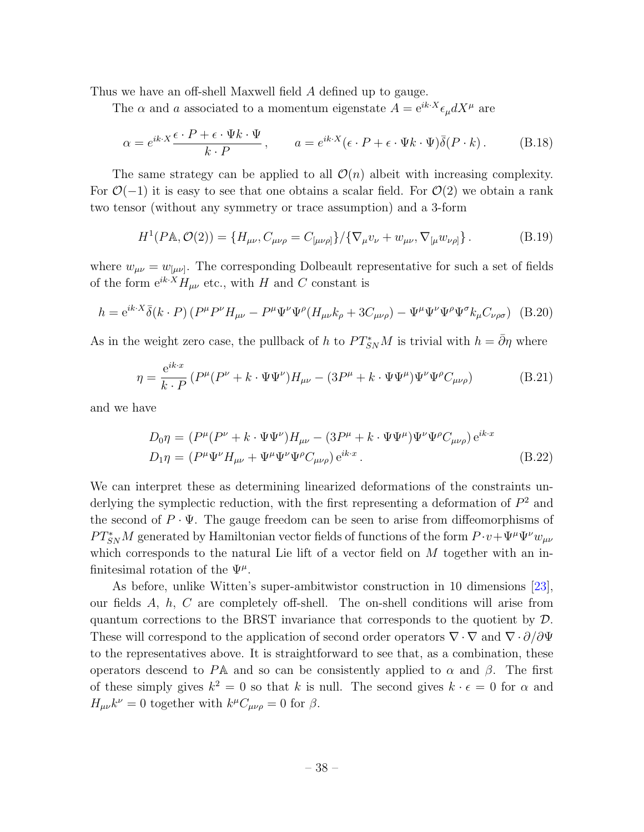Thus we have an off-shell Maxwell field A defined up to gauge.

The  $\alpha$  and a associated to a momentum eigenstate  $A = e^{ik \cdot X} \epsilon_{\mu} dX^{\mu}$  are

<span id="page-37-0"></span>
$$
\alpha = e^{ik \cdot X} \frac{\epsilon \cdot P + \epsilon \cdot \Psi k \cdot \Psi}{k \cdot P}, \qquad a = e^{ik \cdot X} (\epsilon \cdot P + \epsilon \cdot \Psi k \cdot \Psi) \overline{\delta}(P \cdot k). \tag{B.18}
$$

The same strategy can be applied to all  $\mathcal{O}(n)$  albeit with increasing complexity. For  $\mathcal{O}(-1)$  it is easy to see that one obtains a scalar field. For  $\mathcal{O}(2)$  we obtain a rank two tensor (without any symmetry or trace assumption) and a 3-form

$$
H^{1}(P\mathbb{A}, \mathcal{O}(2)) = \{H_{\mu\nu}, C_{\mu\nu\rho} = C_{[\mu\nu\rho]}\}/\{\nabla_{\mu}v_{\nu} + w_{\mu\nu}, \nabla_{[\mu}w_{\nu\rho]}\}.
$$
 (B.19)

where  $w_{\mu\nu} = w_{[\mu\nu]}$ . The corresponding Dolbeault representative for such a set of fields of the form  ${\rm e}^{ik\cdot X}H_{\mu\nu}$  etc., with  $H$  and  $C$  constant is

$$
h = e^{ik \cdot X} \bar{\delta}(k \cdot P) \left( P^{\mu} P^{\nu} H_{\mu \nu} - P^{\mu} \Psi^{\nu} \Psi^{\rho} (H_{\mu \nu} k_{\rho} + 3C_{\mu \nu \rho}) - \Psi^{\mu} \Psi^{\nu} \Psi^{\rho} \Psi^{\sigma} k_{\mu} C_{\nu \rho \sigma} \right)
$$
(B.20)

As in the weight zero case, the pullback of h to  $PT_{SN}^*M$  is trivial with  $h = \bar{\partial}\eta$  where

$$
\eta = \frac{e^{ik \cdot x}}{k \cdot P} \left( P^{\mu} (P^{\nu} + k \cdot \Psi \Psi^{\nu}) H_{\mu \nu} - (3P^{\mu} + k \cdot \Psi \Psi^{\mu}) \Psi^{\nu} \Psi^{\rho} C_{\mu \nu \rho} \right) \tag{B.21}
$$

and we have

$$
D_0 \eta = (P^{\mu}(P^{\nu} + k \cdot \Psi \Psi^{\nu})H_{\mu\nu} - (3P^{\mu} + k \cdot \Psi \Psi^{\mu})\Psi^{\nu}\Psi^{\rho}C_{\mu\nu\rho})e^{ik \cdot x}
$$
  
\n
$$
D_1 \eta = (P^{\mu}\Psi^{\nu}H_{\mu\nu} + \Psi^{\mu}\Psi^{\nu}\Psi^{\rho}C_{\mu\nu\rho})e^{ik \cdot x}.
$$
\n(B.22)

We can interpret these as determining linearized deformations of the constraints underlying the symplectic reduction, with the first representing a deformation of  $P^2$  and the second of  $P \cdot \Psi$ . The gauge freedom can be seen to arise from diffeomorphisms of  $PT_{SN}^*M$  generated by Hamiltonian vector fields of functions of the form  $P \cdot v + \Psi^{\mu} \Psi^{\nu} w_{\mu\nu}$ which corresponds to the natural Lie lift of a vector field on  $M$  together with an infinitesimal rotation of the  $\Psi^{\mu}$ .

As before, unlike Witten's super-ambitwistor construction in 10 dimensions [\[23\]](#page-31-12), our fields  $A, h, C$  are completely off-shell. The on-shell conditions will arise from quantum corrections to the BRST invariance that corresponds to the quotient by  $\mathcal{D}$ . These will correspond to the application of second order operators  $\nabla \cdot \nabla$  and  $\nabla \cdot \partial/\partial \Psi$ to the representatives above. It is straightforward to see that, as a combination, these operators descend to PA and so can be consistently applied to  $\alpha$  and  $\beta$ . The first of these simply gives  $k^2 = 0$  so that k is null. The second gives  $k \cdot \epsilon = 0$  for  $\alpha$  and  $H_{\mu\nu}k^{\nu} = 0$  together with  $k^{\mu}C_{\mu\nu\rho} = 0$  for  $\beta$ .